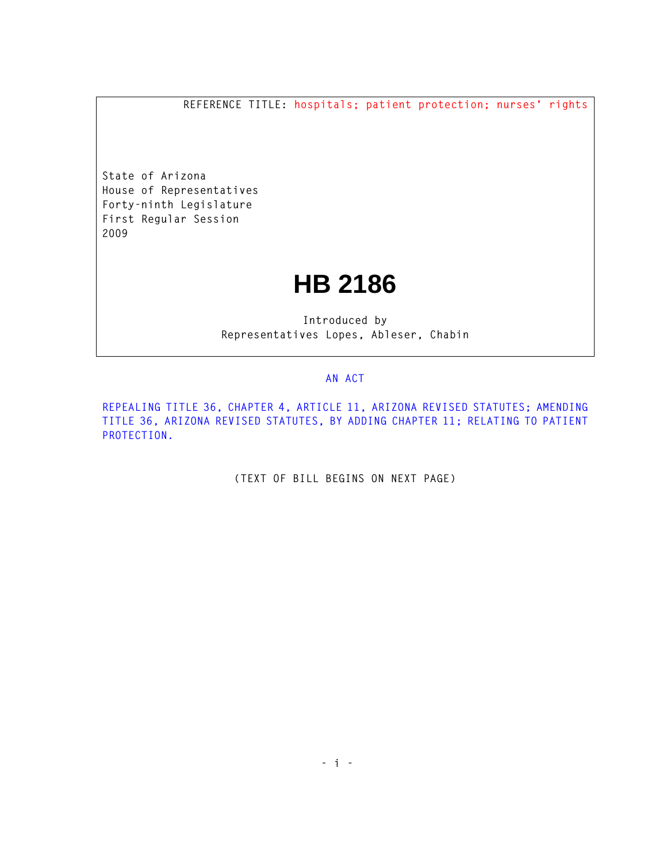**REFERENCE TITLE: hospitals; patient protection; nurses' rights**

**State of Arizona House of Representatives Forty-ninth Legislature First Regular Session 2009** 

## **HB 2186**

**Introduced by Representatives Lopes, Ableser, Chabin** 

## **AN ACT**

**REPEALING TITLE 36, CHAPTER 4, ARTICLE 11, ARIZONA REVISED STATUTES; AMENDING TITLE 36, ARIZONA REVISED STATUTES, BY ADDING CHAPTER 11; RELATING TO PATIENT PROTECTION.** 

**(TEXT OF BILL BEGINS ON NEXT PAGE)**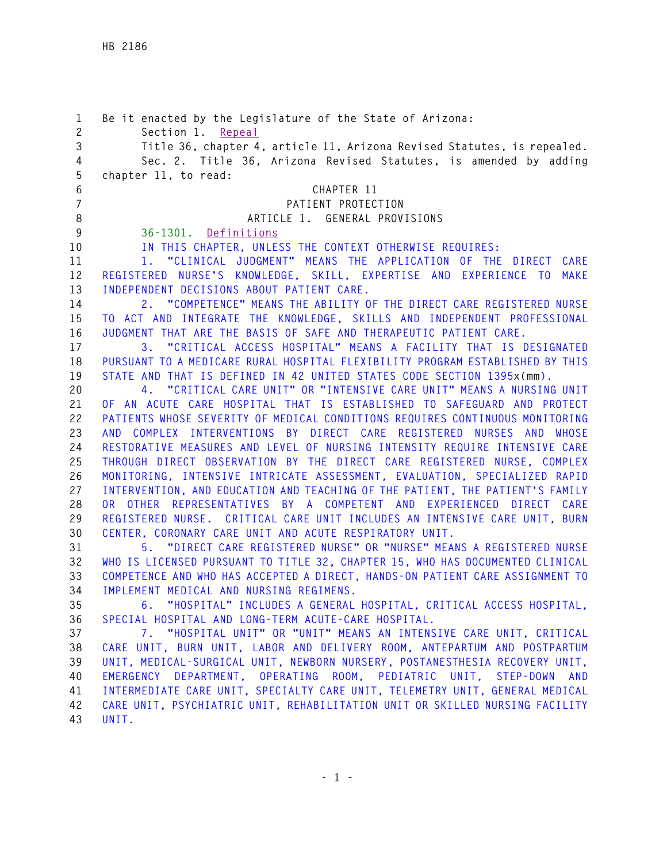**1 Be it enacted by the Legislature of the State of Arizona: 2 Section 1. Repeal 3 Title 36, chapter 4, article 11, Arizona Revised Statutes, is repealed. 4 Sec. 2. Title 36, Arizona Revised Statutes, is amended by adding 5 chapter 11, to read: 6 CHAPTER 11 7 PATIENT PROTECTION 8 ARTICLE 1. GENERAL PROVISIONS 9 36-1301. Definitions 10 IN THIS CHAPTER, UNLESS THE CONTEXT OTHERWISE REQUIRES: 11 1. "CLINICAL JUDGMENT" MEANS THE APPLICATION OF THE DIRECT CARE 12 REGISTERED NURSE'S KNOWLEDGE, SKILL, EXPERTISE AND EXPERIENCE TO MAKE 13 INDEPENDENT DECISIONS ABOUT PATIENT CARE. 14 2. "COMPETENCE" MEANS THE ABILITY OF THE DIRECT CARE REGISTERED NURSE 15 TO ACT AND INTEGRATE THE KNOWLEDGE, SKILLS AND INDEPENDENT PROFESSIONAL 16 JUDGMENT THAT ARE THE BASIS OF SAFE AND THERAPEUTIC PATIENT CARE. 17 3. "CRITICAL ACCESS HOSPITAL" MEANS A FACILITY THAT IS DESIGNATED 18 PURSUANT TO A MEDICARE RURAL HOSPITAL FLEXIBILITY PROGRAM ESTABLISHED BY THIS 19 STATE AND THAT IS DEFINED IN 42 UNITED STATES CODE SECTION 1395x(mm). 20 4. "CRITICAL CARE UNIT" OR "INTENSIVE CARE UNIT" MEANS A NURSING UNIT 21 OF AN ACUTE CARE HOSPITAL THAT IS ESTABLISHED TO SAFEGUARD AND PROTECT 22 PATIENTS WHOSE SEVERITY OF MEDICAL CONDITIONS REQUIRES CONTINUOUS MONITORING 23 AND COMPLEX INTERVENTIONS BY DIRECT CARE REGISTERED NURSES AND WHOSE 24 RESTORATIVE MEASURES AND LEVEL OF NURSING INTENSITY REQUIRE INTENSIVE CARE 25 THROUGH DIRECT OBSERVATION BY THE DIRECT CARE REGISTERED NURSE, COMPLEX 26 MONITORING, INTENSIVE INTRICATE ASSESSMENT, EVALUATION, SPECIALIZED RAPID 27 INTERVENTION, AND EDUCATION AND TEACHING OF THE PATIENT, THE PATIENT'S FAMILY 28 OR OTHER REPRESENTATIVES BY A COMPETENT AND EXPERIENCED DIRECT CARE 29 REGISTERED NURSE. CRITICAL CARE UNIT INCLUDES AN INTENSIVE CARE UNIT, BURN 30 CENTER, CORONARY CARE UNIT AND ACUTE RESPIRATORY UNIT. 31 5. "DIRECT CARE REGISTERED NURSE" OR "NURSE" MEANS A REGISTERED NURSE 32 WHO IS LICENSED PURSUANT TO TITLE 32, CHAPTER 15, WHO HAS DOCUMENTED CLINICAL 33 COMPETENCE AND WHO HAS ACCEPTED A DIRECT, HANDS-ON PATIENT CARE ASSIGNMENT TO 34 IMPLEMENT MEDICAL AND NURSING REGIMENS. 35 6. "HOSPITAL" INCLUDES A GENERAL HOSPITAL, CRITICAL ACCESS HOSPITAL, 36 SPECIAL HOSPITAL AND LONG-TERM ACUTE-CARE HOSPITAL. 37 7. "HOSPITAL UNIT" OR "UNIT" MEANS AN INTENSIVE CARE UNIT, CRITICAL 38 CARE UNIT, BURN UNIT, LABOR AND DELIVERY ROOM, ANTEPARTUM AND POSTPARTUM 39 UNIT, MEDICAL-SURGICAL UNIT, NEWBORN NURSERY, POSTANESTHESIA RECOVERY UNIT, 40 EMERGENCY DEPARTMENT, OPERATING ROOM, PEDIATRIC UNIT, STEP-DOWN AND 41 INTERMEDIATE CARE UNIT, SPECIALTY CARE UNIT, TELEMETRY UNIT, GENERAL MEDICAL 42 CARE UNIT, PSYCHIATRIC UNIT, REHABILITATION UNIT OR SKILLED NURSING FACILITY 43 UNIT.**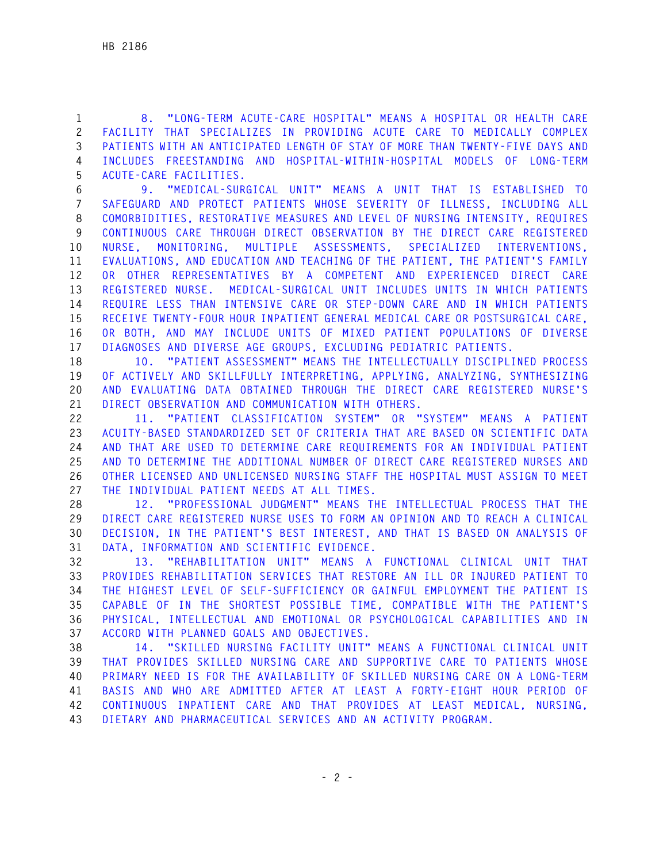**1 8. "LONG-TERM ACUTE-CARE HOSPITAL" MEANS A HOSPITAL OR HEALTH CARE 2 FACILITY THAT SPECIALIZES IN PROVIDING ACUTE CARE TO MEDICALLY COMPLEX 3 PATIENTS WITH AN ANTICIPATED LENGTH OF STAY OF MORE THAN TWENTY-FIVE DAYS AND 4 INCLUDES FREESTANDING AND HOSPITAL-WITHIN-HOSPITAL MODELS OF LONG-TERM 5 ACUTE-CARE FACILITIES.** 

**6 9. "MEDICAL-SURGICAL UNIT" MEANS A UNIT THAT IS ESTABLISHED TO 7 SAFEGUARD AND PROTECT PATIENTS WHOSE SEVERITY OF ILLNESS, INCLUDING ALL 8 COMORBIDITIES, RESTORATIVE MEASURES AND LEVEL OF NURSING INTENSITY, REQUIRES 9 CONTINUOUS CARE THROUGH DIRECT OBSERVATION BY THE DIRECT CARE REGISTERED 10 NURSE, MONITORING, MULTIPLE ASSESSMENTS, SPECIALIZED INTERVENTIONS, 11 EVALUATIONS, AND EDUCATION AND TEACHING OF THE PATIENT, THE PATIENT'S FAMILY 12 OR OTHER REPRESENTATIVES BY A COMPETENT AND EXPERIENCED DIRECT CARE 13 REGISTERED NURSE. MEDICAL-SURGICAL UNIT INCLUDES UNITS IN WHICH PATIENTS 14 REQUIRE LESS THAN INTENSIVE CARE OR STEP-DOWN CARE AND IN WHICH PATIENTS 15 RECEIVE TWENTY-FOUR HOUR INPATIENT GENERAL MEDICAL CARE OR POSTSURGICAL CARE, 16 OR BOTH, AND MAY INCLUDE UNITS OF MIXED PATIENT POPULATIONS OF DIVERSE 17 DIAGNOSES AND DIVERSE AGE GROUPS, EXCLUDING PEDIATRIC PATIENTS.** 

**18 10. "PATIENT ASSESSMENT" MEANS THE INTELLECTUALLY DISCIPLINED PROCESS 19 OF ACTIVELY AND SKILLFULLY INTERPRETING, APPLYING, ANALYZING, SYNTHESIZING 20 AND EVALUATING DATA OBTAINED THROUGH THE DIRECT CARE REGISTERED NURSE'S 21 DIRECT OBSERVATION AND COMMUNICATION WITH OTHERS.** 

**22 11. "PATIENT CLASSIFICATION SYSTEM" OR "SYSTEM" MEANS A PATIENT 23 ACUITY-BASED STANDARDIZED SET OF CRITERIA THAT ARE BASED ON SCIENTIFIC DATA 24 AND THAT ARE USED TO DETERMINE CARE REQUIREMENTS FOR AN INDIVIDUAL PATIENT 25 AND TO DETERMINE THE ADDITIONAL NUMBER OF DIRECT CARE REGISTERED NURSES AND 26 OTHER LICENSED AND UNLICENSED NURSING STAFF THE HOSPITAL MUST ASSIGN TO MEET 27 THE INDIVIDUAL PATIENT NEEDS AT ALL TIMES.** 

**28 12. "PROFESSIONAL JUDGMENT" MEANS THE INTELLECTUAL PROCESS THAT THE 29 DIRECT CARE REGISTERED NURSE USES TO FORM AN OPINION AND TO REACH A CLINICAL 30 DECISION, IN THE PATIENT'S BEST INTEREST, AND THAT IS BASED ON ANALYSIS OF 31 DATA, INFORMATION AND SCIENTIFIC EVIDENCE.** 

**32 13. "REHABILITATION UNIT" MEANS A FUNCTIONAL CLINICAL UNIT THAT 33 PROVIDES REHABILITATION SERVICES THAT RESTORE AN ILL OR INJURED PATIENT TO 34 THE HIGHEST LEVEL OF SELF-SUFFICIENCY OR GAINFUL EMPLOYMENT THE PATIENT IS 35 CAPABLE OF IN THE SHORTEST POSSIBLE TIME, COMPATIBLE WITH THE PATIENT'S 36 PHYSICAL, INTELLECTUAL AND EMOTIONAL OR PSYCHOLOGICAL CAPABILITIES AND IN 37 ACCORD WITH PLANNED GOALS AND OBJECTIVES.** 

**38 14. "SKILLED NURSING FACILITY UNIT" MEANS A FUNCTIONAL CLINICAL UNIT 39 THAT PROVIDES SKILLED NURSING CARE AND SUPPORTIVE CARE TO PATIENTS WHOSE 40 PRIMARY NEED IS FOR THE AVAILABILITY OF SKILLED NURSING CARE ON A LONG-TERM 41 BASIS AND WHO ARE ADMITTED AFTER AT LEAST A FORTY-EIGHT HOUR PERIOD OF 42 CONTINUOUS INPATIENT CARE AND THAT PROVIDES AT LEAST MEDICAL, NURSING, 43 DIETARY AND PHARMACEUTICAL SERVICES AND AN ACTIVITY PROGRAM.**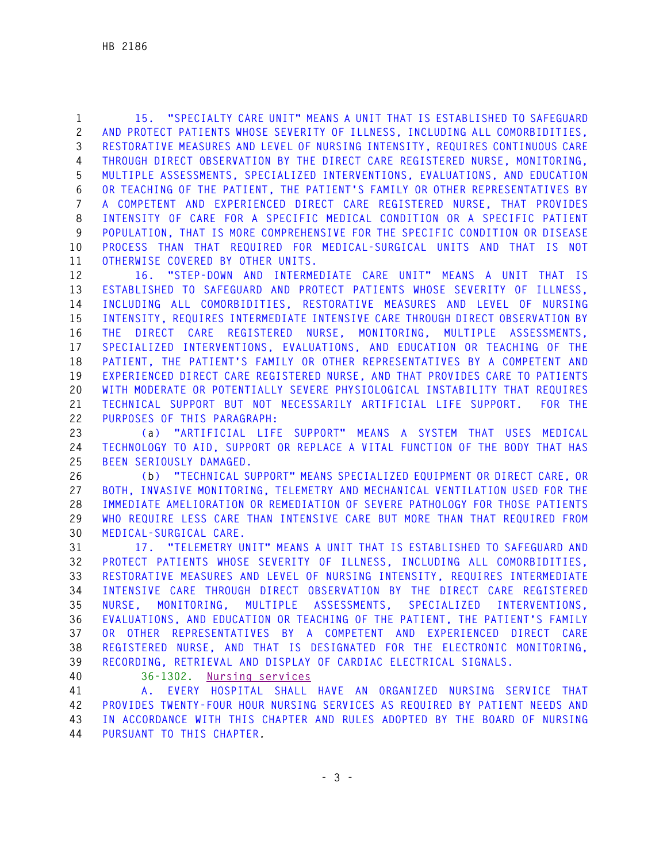**1 15. "SPECIALTY CARE UNIT" MEANS A UNIT THAT IS ESTABLISHED TO SAFEGUARD 2 AND PROTECT PATIENTS WHOSE SEVERITY OF ILLNESS, INCLUDING ALL COMORBIDITIES, 3 RESTORATIVE MEASURES AND LEVEL OF NURSING INTENSITY, REQUIRES CONTINUOUS CARE 4 THROUGH DIRECT OBSERVATION BY THE DIRECT CARE REGISTERED NURSE, MONITORING, 5 MULTIPLE ASSESSMENTS, SPECIALIZED INTERVENTIONS, EVALUATIONS, AND EDUCATION 6 OR TEACHING OF THE PATIENT, THE PATIENT'S FAMILY OR OTHER REPRESENTATIVES BY 7 A COMPETENT AND EXPERIENCED DIRECT CARE REGISTERED NURSE, THAT PROVIDES 8 INTENSITY OF CARE FOR A SPECIFIC MEDICAL CONDITION OR A SPECIFIC PATIENT 9 POPULATION, THAT IS MORE COMPREHENSIVE FOR THE SPECIFIC CONDITION OR DISEASE 10 PROCESS THAN THAT REQUIRED FOR MEDICAL-SURGICAL UNITS AND THAT IS NOT 11 OTHERWISE COVERED BY OTHER UNITS.** 

**12 16. "STEP-DOWN AND INTERMEDIATE CARE UNIT" MEANS A UNIT THAT IS 13 ESTABLISHED TO SAFEGUARD AND PROTECT PATIENTS WHOSE SEVERITY OF ILLNESS, 14 INCLUDING ALL COMORBIDITIES, RESTORATIVE MEASURES AND LEVEL OF NURSING 15 INTENSITY, REQUIRES INTERMEDIATE INTENSIVE CARE THROUGH DIRECT OBSERVATION BY 16 THE DIRECT CARE REGISTERED NURSE, MONITORING, MULTIPLE ASSESSMENTS, 17 SPECIALIZED INTERVENTIONS, EVALUATIONS, AND EDUCATION OR TEACHING OF THE 18 PATIENT, THE PATIENT'S FAMILY OR OTHER REPRESENTATIVES BY A COMPETENT AND 19 EXPERIENCED DIRECT CARE REGISTERED NURSE, AND THAT PROVIDES CARE TO PATIENTS 20 WITH MODERATE OR POTENTIALLY SEVERE PHYSIOLOGICAL INSTABILITY THAT REQUIRES 21 TECHNICAL SUPPORT BUT NOT NECESSARILY ARTIFICIAL LIFE SUPPORT. FOR THE 22 PURPOSES OF THIS PARAGRAPH:** 

**23 (a) "ARTIFICIAL LIFE SUPPORT" MEANS A SYSTEM THAT USES MEDICAL 24 TECHNOLOGY TO AID, SUPPORT OR REPLACE A VITAL FUNCTION OF THE BODY THAT HAS 25 BEEN SERIOUSLY DAMAGED.** 

**26 (b) "TECHNICAL SUPPORT" MEANS SPECIALIZED EQUIPMENT OR DIRECT CARE, OR 27 BOTH, INVASIVE MONITORING, TELEMETRY AND MECHANICAL VENTILATION USED FOR THE 28 IMMEDIATE AMELIORATION OR REMEDIATION OF SEVERE PATHOLOGY FOR THOSE PATIENTS 29 WHO REQUIRE LESS CARE THAN INTENSIVE CARE BUT MORE THAN THAT REQUIRED FROM 30 MEDICAL-SURGICAL CARE.** 

**31 17. "TELEMETRY UNIT" MEANS A UNIT THAT IS ESTABLISHED TO SAFEGUARD AND 32 PROTECT PATIENTS WHOSE SEVERITY OF ILLNESS, INCLUDING ALL COMORBIDITIES, 33 RESTORATIVE MEASURES AND LEVEL OF NURSING INTENSITY, REQUIRES INTERMEDIATE 34 INTENSIVE CARE THROUGH DIRECT OBSERVATION BY THE DIRECT CARE REGISTERED 35 NURSE, MONITORING, MULTIPLE ASSESSMENTS, SPECIALIZED INTERVENTIONS, 36 EVALUATIONS, AND EDUCATION OR TEACHING OF THE PATIENT, THE PATIENT'S FAMILY 37 OR OTHER REPRESENTATIVES BY A COMPETENT AND EXPERIENCED DIRECT CARE 38 REGISTERED NURSE, AND THAT IS DESIGNATED FOR THE ELECTRONIC MONITORING, 39 RECORDING, RETRIEVAL AND DISPLAY OF CARDIAC ELECTRICAL SIGNALS.** 

**40 36-1302. Nursing services**

**41 A. EVERY HOSPITAL SHALL HAVE AN ORGANIZED NURSING SERVICE THAT 42 PROVIDES TWENTY-FOUR HOUR NURSING SERVICES AS REQUIRED BY PATIENT NEEDS AND 43 IN ACCORDANCE WITH THIS CHAPTER AND RULES ADOPTED BY THE BOARD OF NURSING 44 PURSUANT TO THIS CHAPTER***.*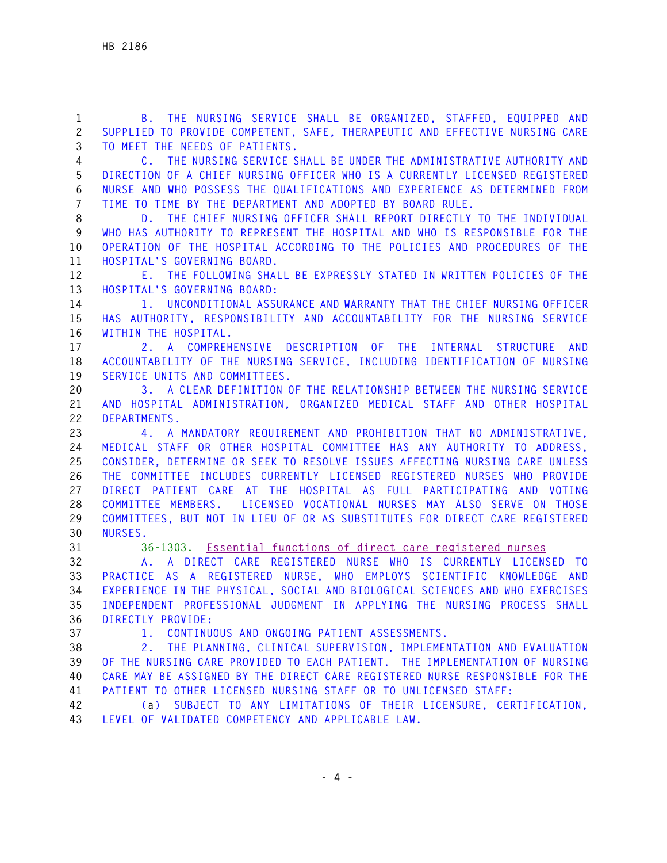**1 B. THE NURSING SERVICE SHALL BE ORGANIZED, STAFFED, EQUIPPED AND 2 SUPPLIED TO PROVIDE COMPETENT, SAFE, THERAPEUTIC AND EFFECTIVE NURSING CARE 3 TO MEET THE NEEDS OF PATIENTS.** 

**4 C. THE NURSING SERVICE SHALL BE UNDER THE ADMINISTRATIVE AUTHORITY AND 5 DIRECTION OF A CHIEF NURSING OFFICER WHO IS A CURRENTLY LICENSED REGISTERED 6 NURSE AND WHO POSSESS THE QUALIFICATIONS AND EXPERIENCE AS DETERMINED FROM 7 TIME TO TIME BY THE DEPARTMENT AND ADOPTED BY BOARD RULE.** 

**8 D. THE CHIEF NURSING OFFICER SHALL REPORT DIRECTLY TO THE INDIVIDUAL 9 WHO HAS AUTHORITY TO REPRESENT THE HOSPITAL AND WHO IS RESPONSIBLE FOR THE 10 OPERATION OF THE HOSPITAL ACCORDING TO THE POLICIES AND PROCEDURES OF THE 11 HOSPITAL'S GOVERNING BOARD.** 

**12 E. THE FOLLOWING SHALL BE EXPRESSLY STATED IN WRITTEN POLICIES OF THE 13 HOSPITAL'S GOVERNING BOARD:** 

**14 1. UNCONDITIONAL ASSURANCE AND WARRANTY THAT THE CHIEF NURSING OFFICER 15 HAS AUTHORITY, RESPONSIBILITY AND ACCOUNTABILITY FOR THE NURSING SERVICE 16 WITHIN THE HOSPITAL.** 

**17 2. A COMPREHENSIVE DESCRIPTION OF THE INTERNAL STRUCTURE AND 18 ACCOUNTABILITY OF THE NURSING SERVICE, INCLUDING IDENTIFICATION OF NURSING 19 SERVICE UNITS AND COMMITTEES.** 

**20 3. A CLEAR DEFINITION OF THE RELATIONSHIP BETWEEN THE NURSING SERVICE 21 AND HOSPITAL ADMINISTRATION, ORGANIZED MEDICAL STAFF AND OTHER HOSPITAL 22 DEPARTMENTS.** 

**23 4. A MANDATORY REQUIREMENT AND PROHIBITION THAT NO ADMINISTRATIVE, 24 MEDICAL STAFF OR OTHER HOSPITAL COMMITTEE HAS ANY AUTHORITY TO ADDRESS, 25 CONSIDER, DETERMINE OR SEEK TO RESOLVE ISSUES AFFECTING NURSING CARE UNLESS 26 THE COMMITTEE INCLUDES CURRENTLY LICENSED REGISTERED NURSES WHO PROVIDE 27 DIRECT PATIENT CARE AT THE HOSPITAL AS FULL PARTICIPATING AND VOTING 28 COMMITTEE MEMBERS. LICENSED VOCATIONAL NURSES MAY ALSO SERVE ON THOSE 29 COMMITTEES, BUT NOT IN LIEU OF OR AS SUBSTITUTES FOR DIRECT CARE REGISTERED 30 NURSES.** 

**31 36-1303. Essential functions of direct care registered nurses**

**32 A. A DIRECT CARE REGISTERED NURSE WHO IS CURRENTLY LICENSED TO 33 PRACTICE AS A REGISTERED NURSE, WHO EMPLOYS SCIENTIFIC KNOWLEDGE AND 34 EXPERIENCE IN THE PHYSICAL, SOCIAL AND BIOLOGICAL SCIENCES AND WHO EXERCISES 35 INDEPENDENT PROFESSIONAL JUDGMENT IN APPLYING THE NURSING PROCESS SHALL 36 DIRECTLY PROVIDE:** 

**37 1. CONTINUOUS AND ONGOING PATIENT ASSESSMENTS.** 

**38 2. THE PLANNING, CLINICAL SUPERVISION, IMPLEMENTATION AND EVALUATION 39 OF THE NURSING CARE PROVIDED TO EACH PATIENT. THE IMPLEMENTATION OF NURSING 40 CARE MAY BE ASSIGNED BY THE DIRECT CARE REGISTERED NURSE RESPONSIBLE FOR THE 41 PATIENT TO OTHER LICENSED NURSING STAFF OR TO UNLICENSED STAFF:** 

**42 (a) SUBJECT TO ANY LIMITATIONS OF THEIR LICENSURE, CERTIFICATION, 43 LEVEL OF VALIDATED COMPETENCY AND APPLICABLE LAW.**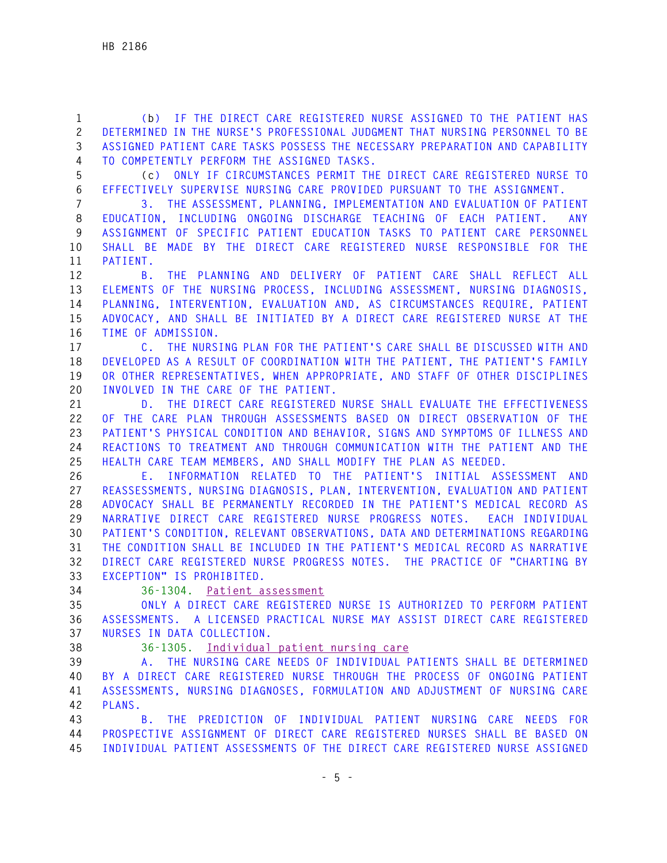**1 (b) IF THE DIRECT CARE REGISTERED NURSE ASSIGNED TO THE PATIENT HAS 2 DETERMINED IN THE NURSE'S PROFESSIONAL JUDGMENT THAT NURSING PERSONNEL TO BE 3 ASSIGNED PATIENT CARE TASKS POSSESS THE NECESSARY PREPARATION AND CAPABILITY 4 TO COMPETENTLY PERFORM THE ASSIGNED TASKS.** 

**5 (c) ONLY IF CIRCUMSTANCES PERMIT THE DIRECT CARE REGISTERED NURSE TO 6 EFFECTIVELY SUPERVISE NURSING CARE PROVIDED PURSUANT TO THE ASSIGNMENT.** 

**7 3. THE ASSESSMENT, PLANNING, IMPLEMENTATION AND EVALUATION OF PATIENT 8 EDUCATION, INCLUDING ONGOING DISCHARGE TEACHING OF EACH PATIENT. ANY 9 ASSIGNMENT OF SPECIFIC PATIENT EDUCATION TASKS TO PATIENT CARE PERSONNEL 10 SHALL BE MADE BY THE DIRECT CARE REGISTERED NURSE RESPONSIBLE FOR THE 11 PATIENT.** 

**12 B. THE PLANNING AND DELIVERY OF PATIENT CARE SHALL REFLECT ALL 13 ELEMENTS OF THE NURSING PROCESS, INCLUDING ASSESSMENT, NURSING DIAGNOSIS, 14 PLANNING, INTERVENTION, EVALUATION AND, AS CIRCUMSTANCES REQUIRE, PATIENT 15 ADVOCACY, AND SHALL BE INITIATED BY A DIRECT CARE REGISTERED NURSE AT THE 16 TIME OF ADMISSION.** 

**17 C. THE NURSING PLAN FOR THE PATIENT'S CARE SHALL BE DISCUSSED WITH AND 18 DEVELOPED AS A RESULT OF COORDINATION WITH THE PATIENT, THE PATIENT'S FAMILY 19 OR OTHER REPRESENTATIVES, WHEN APPROPRIATE, AND STAFF OF OTHER DISCIPLINES 20 INVOLVED IN THE CARE OF THE PATIENT.** 

**21 D. THE DIRECT CARE REGISTERED NURSE SHALL EVALUATE THE EFFECTIVENESS 22 OF THE CARE PLAN THROUGH ASSESSMENTS BASED ON DIRECT OBSERVATION OF THE 23 PATIENT'S PHYSICAL CONDITION AND BEHAVIOR, SIGNS AND SYMPTOMS OF ILLNESS AND 24 REACTIONS TO TREATMENT AND THROUGH COMMUNICATION WITH THE PATIENT AND THE 25 HEALTH CARE TEAM MEMBERS, AND SHALL MODIFY THE PLAN AS NEEDED.** 

**26 E. INFORMATION RELATED TO THE PATIENT'S INITIAL ASSESSMENT AND 27 REASSESSMENTS, NURSING DIAGNOSIS, PLAN, INTERVENTION, EVALUATION AND PATIENT 28 ADVOCACY SHALL BE PERMANENTLY RECORDED IN THE PATIENT'S MEDICAL RECORD AS 29 NARRATIVE DIRECT CARE REGISTERED NURSE PROGRESS NOTES. EACH INDIVIDUAL 30 PATIENT'S CONDITION, RELEVANT OBSERVATIONS, DATA AND DETERMINATIONS REGARDING 31 THE CONDITION SHALL BE INCLUDED IN THE PATIENT'S MEDICAL RECORD AS NARRATIVE 32 DIRECT CARE REGISTERED NURSE PROGRESS NOTES. THE PRACTICE OF "CHARTING BY 33 EXCEPTION" IS PROHIBITED.**

**34 36-1304. Patient assessment**

**35 ONLY A DIRECT CARE REGISTERED NURSE IS AUTHORIZED TO PERFORM PATIENT 36 ASSESSMENTS. A LICENSED PRACTICAL NURSE MAY ASSIST DIRECT CARE REGISTERED 37 NURSES IN DATA COLLECTION.** 

**38 36-1305. Individual patient nursing care**

**39 A. THE NURSING CARE NEEDS OF INDIVIDUAL PATIENTS SHALL BE DETERMINED 40 BY A DIRECT CARE REGISTERED NURSE THROUGH THE PROCESS OF ONGOING PATIENT 41 ASSESSMENTS, NURSING DIAGNOSES, FORMULATION AND ADJUSTMENT OF NURSING CARE 42 PLANS.** 

**43 B. THE PREDICTION OF INDIVIDUAL PATIENT NURSING CARE NEEDS FOR 44 PROSPECTIVE ASSIGNMENT OF DIRECT CARE REGISTERED NURSES SHALL BE BASED ON 45 INDIVIDUAL PATIENT ASSESSMENTS OF THE DIRECT CARE REGISTERED NURSE ASSIGNED**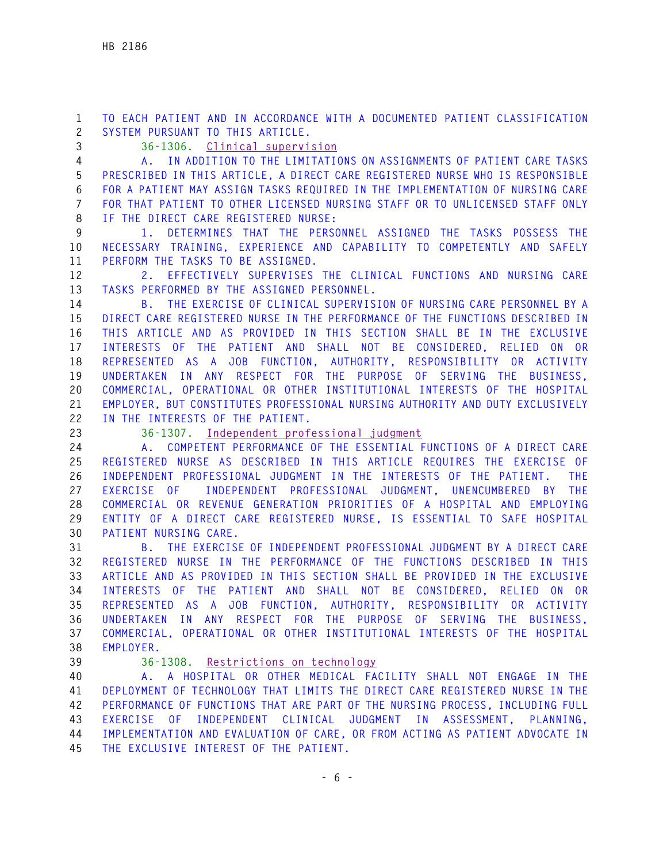**1 TO EACH PATIENT AND IN ACCORDANCE WITH A DOCUMENTED PATIENT CLASSIFICATION 2 SYSTEM PURSUANT TO THIS ARTICLE.** 

**3 36-1306. Clinical supervision**

**4 A. IN ADDITION TO THE LIMITATIONS ON ASSIGNMENTS OF PATIENT CARE TASKS 5 PRESCRIBED IN THIS ARTICLE, A DIRECT CARE REGISTERED NURSE WHO IS RESPONSIBLE 6 FOR A PATIENT MAY ASSIGN TASKS REQUIRED IN THE IMPLEMENTATION OF NURSING CARE 7 FOR THAT PATIENT TO OTHER LICENSED NURSING STAFF OR TO UNLICENSED STAFF ONLY 8 IF THE DIRECT CARE REGISTERED NURSE:** 

**9 1. DETERMINES THAT THE PERSONNEL ASSIGNED THE TASKS POSSESS THE 10 NECESSARY TRAINING, EXPERIENCE AND CAPABILITY TO COMPETENTLY AND SAFELY 11 PERFORM THE TASKS TO BE ASSIGNED.** 

**12 2. EFFECTIVELY SUPERVISES THE CLINICAL FUNCTIONS AND NURSING CARE 13 TASKS PERFORMED BY THE ASSIGNED PERSONNEL.** 

**14 B. THE EXERCISE OF CLINICAL SUPERVISION OF NURSING CARE PERSONNEL BY A 15 DIRECT CARE REGISTERED NURSE IN THE PERFORMANCE OF THE FUNCTIONS DESCRIBED IN 16 THIS ARTICLE AND AS PROVIDED IN THIS SECTION SHALL BE IN THE EXCLUSIVE 17 INTERESTS OF THE PATIENT AND SHALL NOT BE CONSIDERED, RELIED ON OR 18 REPRESENTED AS A JOB FUNCTION, AUTHORITY, RESPONSIBILITY OR ACTIVITY 19 UNDERTAKEN IN ANY RESPECT FOR THE PURPOSE OF SERVING THE BUSINESS, 20 COMMERCIAL, OPERATIONAL OR OTHER INSTITUTIONAL INTERESTS OF THE HOSPITAL 21 EMPLOYER, BUT CONSTITUTES PROFESSIONAL NURSING AUTHORITY AND DUTY EXCLUSIVELY 22 IN THE INTERESTS OF THE PATIENT.** 

**23 36-1307. Independent professional judgment**

**24 A. COMPETENT PERFORMANCE OF THE ESSENTIAL FUNCTIONS OF A DIRECT CARE 25 REGISTERED NURSE AS DESCRIBED IN THIS ARTICLE REQUIRES THE EXERCISE OF 26 INDEPENDENT PROFESSIONAL JUDGMENT IN THE INTERESTS OF THE PATIENT. THE 27 EXERCISE OF INDEPENDENT PROFESSIONAL JUDGMENT, UNENCUMBERED BY THE 28 COMMERCIAL OR REVENUE GENERATION PRIORITIES OF A HOSPITAL AND EMPLOYING 29 ENTITY OF A DIRECT CARE REGISTERED NURSE, IS ESSENTIAL TO SAFE HOSPITAL 30 PATIENT NURSING CARE.** 

**31 B. THE EXERCISE OF INDEPENDENT PROFESSIONAL JUDGMENT BY A DIRECT CARE 32 REGISTERED NURSE IN THE PERFORMANCE OF THE FUNCTIONS DESCRIBED IN THIS 33 ARTICLE AND AS PROVIDED IN THIS SECTION SHALL BE PROVIDED IN THE EXCLUSIVE 34 INTERESTS OF THE PATIENT AND SHALL NOT BE CONSIDERED, RELIED ON OR 35 REPRESENTED AS A JOB FUNCTION, AUTHORITY, RESPONSIBILITY OR ACTIVITY 36 UNDERTAKEN IN ANY RESPECT FOR THE PURPOSE OF SERVING THE BUSINESS, 37 COMMERCIAL, OPERATIONAL OR OTHER INSTITUTIONAL INTERESTS OF THE HOSPITAL 38 EMPLOYER.** 

**39 36-1308. Restrictions on technology**

**40 A. A HOSPITAL OR OTHER MEDICAL FACILITY SHALL NOT ENGAGE IN THE 41 DEPLOYMENT OF TECHNOLOGY THAT LIMITS THE DIRECT CARE REGISTERED NURSE IN THE 42 PERFORMANCE OF FUNCTIONS THAT ARE PART OF THE NURSING PROCESS, INCLUDING FULL 43 EXERCISE OF INDEPENDENT CLINICAL JUDGMENT IN ASSESSMENT, PLANNING, 44 IMPLEMENTATION AND EVALUATION OF CARE, OR FROM ACTING AS PATIENT ADVOCATE IN 45 THE EXCLUSIVE INTEREST OF THE PATIENT.**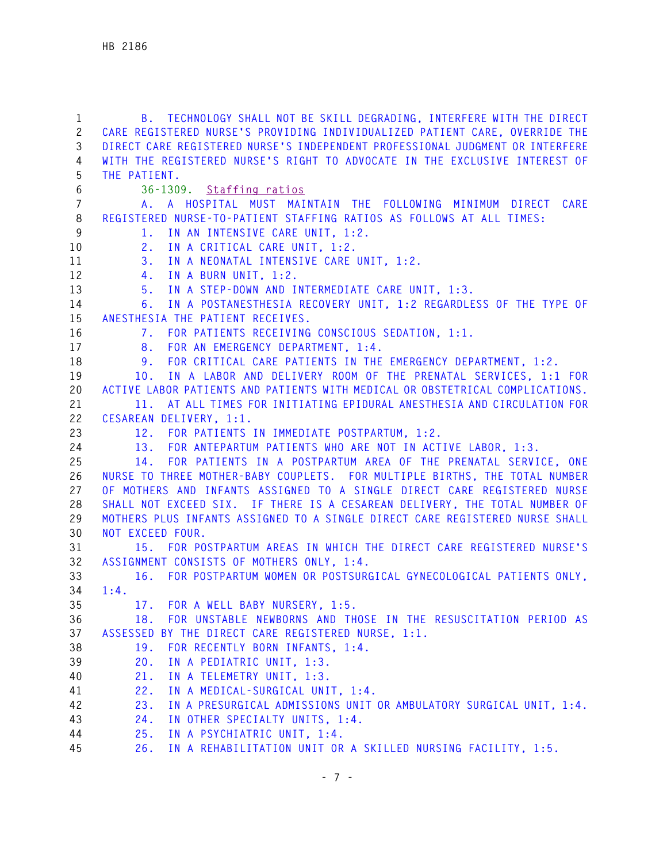| $\mathbf{1}$   | B. TECHNOLOGY SHALL NOT BE SKILL DEGRADING, INTERFERE WITH THE DIRECT         |
|----------------|-------------------------------------------------------------------------------|
| $\mathbf{2}$   | CARE REGISTERED NURSE'S PROVIDING INDIVIDUALIZED PATIENT CARE, OVERRIDE THE   |
| 3              | DIRECT CARE REGISTERED NURSE'S INDEPENDENT PROFESSIONAL JUDGMENT OR INTERFERE |
| 4              | WITH THE REGISTERED NURSE'S RIGHT TO ADVOCATE IN THE EXCLUSIVE INTEREST OF    |
| 5              | THE PATIENT.                                                                  |
| 6              | 36-1309. Staffing ratios                                                      |
| $\overline{7}$ | A. A HOSPITAL MUST MAINTAIN THE FOLLOWING MINIMUM DIRECT<br>CARE              |
| 8              | REGISTERED NURSE-TO-PATIENT STAFFING RATIOS AS FOLLOWS AT ALL TIMES:          |
| 9              | IN AN INTENSIVE CARE UNIT, 1:2.<br>1.                                         |
| 10             | IN A CRITICAL CARE UNIT, 1:2.<br>2.                                           |
| 11             | 3.<br>IN A NEONATAL INTENSIVE CARE UNIT, 1:2.                                 |
| 12             | IN A BURN UNIT, 1:2.<br>4.                                                    |
| 13             | IN A STEP-DOWN AND INTERMEDIATE CARE UNIT, 1:3.<br>5.                         |
| 14             | IN A POSTANESTHESIA RECOVERY UNIT, 1:2 REGARDLESS OF THE TYPE OF<br>6.        |
| 15             | ANESTHESIA THE PATIENT RECEIVES.                                              |
| 16             | 7. FOR PATIENTS RECEIVING CONSCIOUS SEDATION, 1:1.                            |
| 17             | FOR AN EMERGENCY DEPARTMENT, 1:4.<br>8.                                       |
| 18             | FOR CRITICAL CARE PATIENTS IN THE EMERGENCY DEPARTMENT, 1:2.<br>9.            |
| 19             | IN A LABOR AND DELIVERY ROOM OF THE PRENATAL SERVICES, 1:1 FOR<br>10.         |
| 20             | ACTIVE LABOR PATIENTS AND PATIENTS WITH MEDICAL OR OBSTETRICAL COMPLICATIONS. |
| 21             | AT ALL TIMES FOR INITIATING EPIDURAL ANESTHESIA AND CIRCULATION FOR<br>11.    |
| 22             | CESAREAN DELIVERY, 1:1.                                                       |
| 23             | 12. FOR PATIENTS IN IMMEDIATE POSTPARTUM, 1:2.                                |
| 24             | 13. FOR ANTEPARTUM PATIENTS WHO ARE NOT IN ACTIVE LABOR, 1:3.                 |
| 25             | FOR PATIENTS IN A POSTPARTUM AREA OF THE PRENATAL SERVICE, ONE<br>14.         |
| 26             | NURSE TO THREE MOTHER-BABY COUPLETS. FOR MULTIPLE BIRTHS, THE TOTAL NUMBER    |
| 27             | OF MOTHERS AND INFANTS ASSIGNED TO A SINGLE DIRECT CARE REGISTERED NURSE      |
| 28             | SHALL NOT EXCEED SIX. IF THERE IS A CESAREAN DELIVERY, THE TOTAL NUMBER OF    |
| 29             | MOTHERS PLUS INFANTS ASSIGNED TO A SINGLE DIRECT CARE REGISTERED NURSE SHALL  |
| 30             | NOT EXCEED FOUR.                                                              |
| 31             | 15. FOR POSTPARTUM AREAS IN WHICH THE DIRECT CARE REGISTERED NURSE'S          |
| 32             | ASSIGNMENT CONSISTS OF MOTHERS ONLY, 1:4.                                     |
| 33             | 16. FOR POSTPARTUM WOMEN OR POSTSURGICAL GYNECOLOGICAL PATIENTS ONLY.         |
| 34             | 1:4.                                                                          |
| 35             | FOR A WELL BABY NURSERY, 1:5.<br>17.                                          |
| 36             | FOR UNSTABLE NEWBORNS AND THOSE IN THE RESUSCITATION PERIOD AS<br>18.         |
| 37             | ASSESSED BY THE DIRECT CARE REGISTERED NURSE, 1:1.                            |
| 38             | 19.<br>FOR RECENTLY BORN INFANTS, 1:4.                                        |
| 39             | IN A PEDIATRIC UNIT, 1:3.<br>20.                                              |
| 40             | IN A TELEMETRY UNIT, 1:3.<br>21.                                              |
| 41             | IN A MEDICAL-SURGICAL UNIT, 1:4.<br>22.                                       |
| 42             | IN A PRESURGICAL ADMISSIONS UNIT OR AMBULATORY SURGICAL UNIT, 1:4.<br>23.     |
| 43             | 24.                                                                           |
| 44             | IN OTHER SPECIALTY UNITS, 1:4.<br>25.<br>IN A PSYCHIATRIC UNIT, 1:4.          |
| 45             | 26.                                                                           |
|                | IN A REHABILITATION UNIT OR A SKILLED NURSING FACILITY, 1:5.                  |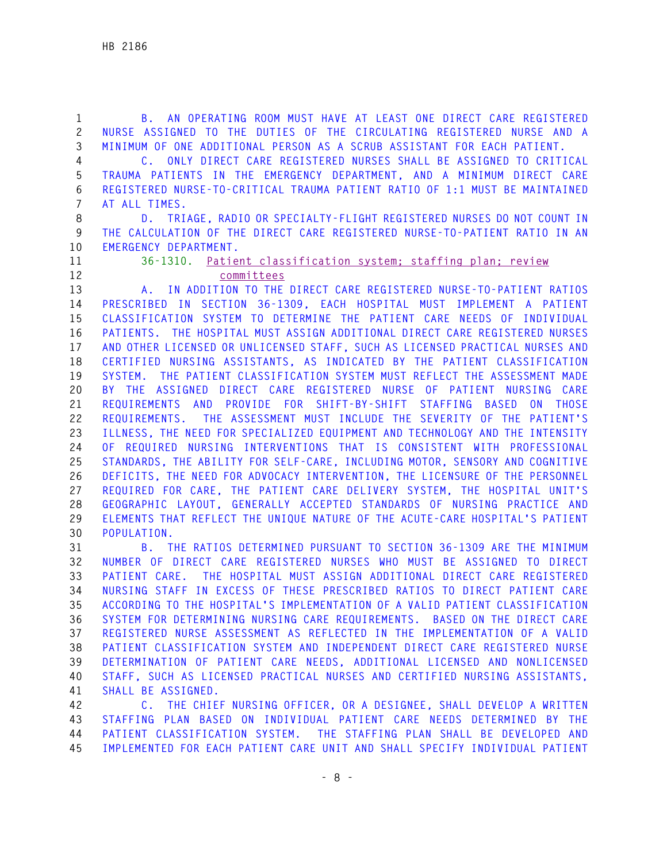**1 B. AN OPERATING ROOM MUST HAVE AT LEAST ONE DIRECT CARE REGISTERED 2 NURSE ASSIGNED TO THE DUTIES OF THE CIRCULATING REGISTERED NURSE AND A 3 MINIMUM OF ONE ADDITIONAL PERSON AS A SCRUB ASSISTANT FOR EACH PATIENT. 4 C. ONLY DIRECT CARE REGISTERED NURSES SHALL BE ASSIGNED TO CRITICAL 5 TRAUMA PATIENTS IN THE EMERGENCY DEPARTMENT, AND A MINIMUM DIRECT CARE 6 REGISTERED NURSE-TO-CRITICAL TRAUMA PATIENT RATIO OF 1:1 MUST BE MAINTAINED 7 AT ALL TIMES. 8 D. TRIAGE, RADIO OR SPECIALTY-FLIGHT REGISTERED NURSES DO NOT COUNT IN 9 THE CALCULATION OF THE DIRECT CARE REGISTERED NURSE-TO-PATIENT RATIO IN AN 10 EMERGENCY DEPARTMENT. 11 36-1310. Patient classification system; staffing plan; review 12 committees 13 A. IN ADDITION TO THE DIRECT CARE REGISTERED NURSE-TO-PATIENT RATIOS 14 PRESCRIBED IN SECTION 36-1309, EACH HOSPITAL MUST IMPLEMENT A PATIENT 15 CLASSIFICATION SYSTEM TO DETERMINE THE PATIENT CARE NEEDS OF INDIVIDUAL 16 PATIENTS. THE HOSPITAL MUST ASSIGN ADDITIONAL DIRECT CARE REGISTERED NURSES 17 AND OTHER LICENSED OR UNLICENSED STAFF, SUCH AS LICENSED PRACTICAL NURSES AND 18 CERTIFIED NURSING ASSISTANTS, AS INDICATED BY THE PATIENT CLASSIFICATION 19 SYSTEM. THE PATIENT CLASSIFICATION SYSTEM MUST REFLECT THE ASSESSMENT MADE 20 BY THE ASSIGNED DIRECT CARE REGISTERED NURSE OF PATIENT NURSING CARE 21 REQUIREMENTS AND PROVIDE FOR SHIFT-BY-SHIFT STAFFING BASED ON THOSE 22 REQUIREMENTS. THE ASSESSMENT MUST INCLUDE THE SEVERITY OF THE PATIENT'S 23 ILLNESS, THE NEED FOR SPECIALIZED EQUIPMENT AND TECHNOLOGY AND THE INTENSITY 24 OF REQUIRED NURSING INTERVENTIONS THAT IS CONSISTENT WITH PROFESSIONAL 25 STANDARDS, THE ABILITY FOR SELF-CARE, INCLUDING MOTOR, SENSORY AND COGNITIVE 26 DEFICITS, THE NEED FOR ADVOCACY INTERVENTION, THE LICENSURE OF THE PERSONNEL 27 REQUIRED FOR CARE, THE PATIENT CARE DELIVERY SYSTEM, THE HOSPITAL UNIT'S 28 GEOGRAPHIC LAYOUT, GENERALLY ACCEPTED STANDARDS OF NURSING PRACTICE AND 29 ELEMENTS THAT REFLECT THE UNIQUE NATURE OF THE ACUTE-CARE HOSPITAL'S PATIENT 30 POPULATION. 31 B. THE RATIOS DETERMINED PURSUANT TO SECTION 36-1309 ARE THE MINIMUM** 

**32 NUMBER OF DIRECT CARE REGISTERED NURSES WHO MUST BE ASSIGNED TO DIRECT 33 PATIENT CARE. THE HOSPITAL MUST ASSIGN ADDITIONAL DIRECT CARE REGISTERED 34 NURSING STAFF IN EXCESS OF THESE PRESCRIBED RATIOS TO DIRECT PATIENT CARE 35 ACCORDING TO THE HOSPITAL'S IMPLEMENTATION OF A VALID PATIENT CLASSIFICATION 36 SYSTEM FOR DETERMINING NURSING CARE REQUIREMENTS. BASED ON THE DIRECT CARE 37 REGISTERED NURSE ASSESSMENT AS REFLECTED IN THE IMPLEMENTATION OF A VALID 38 PATIENT CLASSIFICATION SYSTEM AND INDEPENDENT DIRECT CARE REGISTERED NURSE 39 DETERMINATION OF PATIENT CARE NEEDS, ADDITIONAL LICENSED AND NONLICENSED 40 STAFF, SUCH AS LICENSED PRACTICAL NURSES AND CERTIFIED NURSING ASSISTANTS, 41 SHALL BE ASSIGNED.** 

**42 C. THE CHIEF NURSING OFFICER, OR A DESIGNEE, SHALL DEVELOP A WRITTEN 43 STAFFING PLAN BASED ON INDIVIDUAL PATIENT CARE NEEDS DETERMINED BY THE 44 PATIENT CLASSIFICATION SYSTEM. THE STAFFING PLAN SHALL BE DEVELOPED AND 45 IMPLEMENTED FOR EACH PATIENT CARE UNIT AND SHALL SPECIFY INDIVIDUAL PATIENT**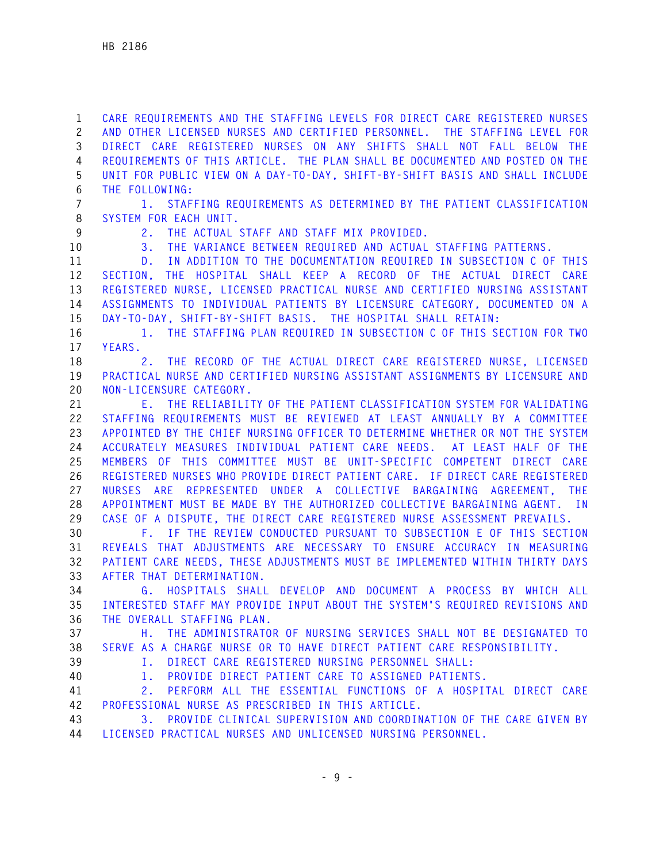**1 CARE REQUIREMENTS AND THE STAFFING LEVELS FOR DIRECT CARE REGISTERED NURSES 2 AND OTHER LICENSED NURSES AND CERTIFIED PERSONNEL. THE STAFFING LEVEL FOR 3 DIRECT CARE REGISTERED NURSES ON ANY SHIFTS SHALL NOT FALL BELOW THE 4 REQUIREMENTS OF THIS ARTICLE. THE PLAN SHALL BE DOCUMENTED AND POSTED ON THE 5 UNIT FOR PUBLIC VIEW ON A DAY-TO-DAY, SHIFT-BY-SHIFT BASIS AND SHALL INCLUDE 6 THE FOLLOWING:** 

**7 1. STAFFING REQUIREMENTS AS DETERMINED BY THE PATIENT CLASSIFICATION 8 SYSTEM FOR EACH UNIT.** 

**9 2. THE ACTUAL STAFF AND STAFF MIX PROVIDED.** 

**10 3. THE VARIANCE BETWEEN REQUIRED AND ACTUAL STAFFING PATTERNS.** 

**11 D. IN ADDITION TO THE DOCUMENTATION REQUIRED IN SUBSECTION C OF THIS 12 SECTION, THE HOSPITAL SHALL KEEP A RECORD OF THE ACTUAL DIRECT CARE 13 REGISTERED NURSE, LICENSED PRACTICAL NURSE AND CERTIFIED NURSING ASSISTANT 14 ASSIGNMENTS TO INDIVIDUAL PATIENTS BY LICENSURE CATEGORY, DOCUMENTED ON A 15 DAY-TO-DAY, SHIFT-BY-SHIFT BASIS. THE HOSPITAL SHALL RETAIN:** 

**16 1. THE STAFFING PLAN REQUIRED IN SUBSECTION C OF THIS SECTION FOR TWO 17 YEARS.** 

**18 2. THE RECORD OF THE ACTUAL DIRECT CARE REGISTERED NURSE, LICENSED 19 PRACTICAL NURSE AND CERTIFIED NURSING ASSISTANT ASSIGNMENTS BY LICENSURE AND 20 NON-LICENSURE CATEGORY.** 

**21 E. THE RELIABILITY OF THE PATIENT CLASSIFICATION SYSTEM FOR VALIDATING 22 STAFFING REQUIREMENTS MUST BE REVIEWED AT LEAST ANNUALLY BY A COMMITTEE 23 APPOINTED BY THE CHIEF NURSING OFFICER TO DETERMINE WHETHER OR NOT THE SYSTEM 24 ACCURATELY MEASURES INDIVIDUAL PATIENT CARE NEEDS. AT LEAST HALF OF THE 25 MEMBERS OF THIS COMMITTEE MUST BE UNIT-SPECIFIC COMPETENT DIRECT CARE 26 REGISTERED NURSES WHO PROVIDE DIRECT PATIENT CARE. IF DIRECT CARE REGISTERED 27 NURSES ARE REPRESENTED UNDER A COLLECTIVE BARGAINING AGREEMENT, THE 28 APPOINTMENT MUST BE MADE BY THE AUTHORIZED COLLECTIVE BARGAINING AGENT. IN 29 CASE OF A DISPUTE, THE DIRECT CARE REGISTERED NURSE ASSESSMENT PREVAILS.** 

**30 F. IF THE REVIEW CONDUCTED PURSUANT TO SUBSECTION E OF THIS SECTION 31 REVEALS THAT ADJUSTMENTS ARE NECESSARY TO ENSURE ACCURACY IN MEASURING 32 PATIENT CARE NEEDS, THESE ADJUSTMENTS MUST BE IMPLEMENTED WITHIN THIRTY DAYS 33 AFTER THAT DETERMINATION.** 

**34 G. HOSPITALS SHALL DEVELOP AND DOCUMENT A PROCESS BY WHICH ALL 35 INTERESTED STAFF MAY PROVIDE INPUT ABOUT THE SYSTEM'S REQUIRED REVISIONS AND 36 THE OVERALL STAFFING PLAN.** 

**37 H. THE ADMINISTRATOR OF NURSING SERVICES SHALL NOT BE DESIGNATED TO 38 SERVE AS A CHARGE NURSE OR TO HAVE DIRECT PATIENT CARE RESPONSIBILITY.** 

**39 I. DIRECT CARE REGISTERED NURSING PERSONNEL SHALL:** 

**40 1. PROVIDE DIRECT PATIENT CARE TO ASSIGNED PATIENTS.** 

**41 2. PERFORM ALL THE ESSENTIAL FUNCTIONS OF A HOSPITAL DIRECT CARE 42 PROFESSIONAL NURSE AS PRESCRIBED IN THIS ARTICLE.** 

**43 3. PROVIDE CLINICAL SUPERVISION AND COORDINATION OF THE CARE GIVEN BY 44 LICENSED PRACTICAL NURSES AND UNLICENSED NURSING PERSONNEL.**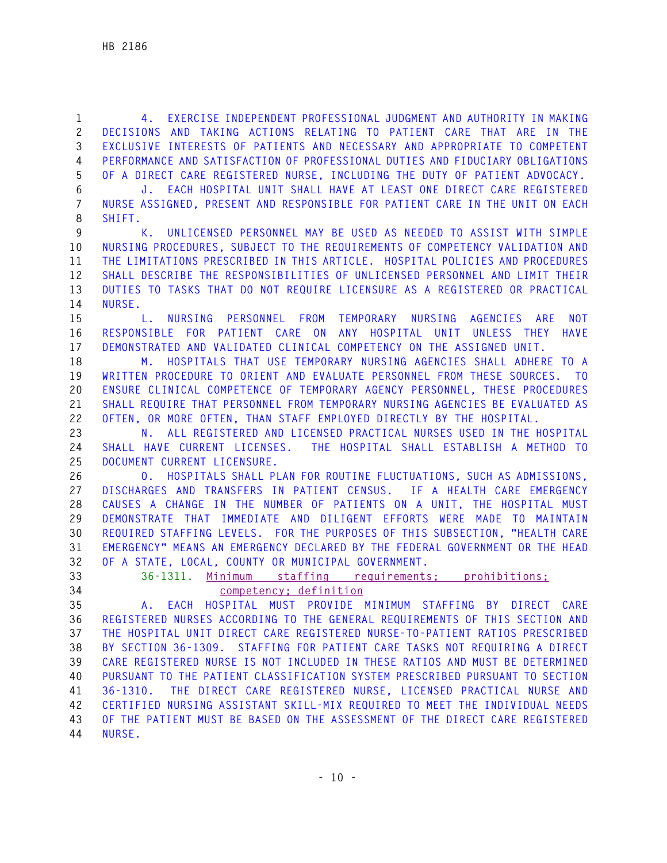**1 4. EXERCISE INDEPENDENT PROFESSIONAL JUDGMENT AND AUTHORITY IN MAKING 2 DECISIONS AND TAKING ACTIONS RELATING TO PATIENT CARE THAT ARE IN THE 3 EXCLUSIVE INTERESTS OF PATIENTS AND NECESSARY AND APPROPRIATE TO COMPETENT 4 PERFORMANCE AND SATISFACTION OF PROFESSIONAL DUTIES AND FIDUCIARY OBLIGATIONS 5 OF A DIRECT CARE REGISTERED NURSE, INCLUDING THE DUTY OF PATIENT ADVOCACY.** 

**6 J. EACH HOSPITAL UNIT SHALL HAVE AT LEAST ONE DIRECT CARE REGISTERED 7 NURSE ASSIGNED, PRESENT AND RESPONSIBLE FOR PATIENT CARE IN THE UNIT ON EACH 8 SHIFT.** 

**9 K. UNLICENSED PERSONNEL MAY BE USED AS NEEDED TO ASSIST WITH SIMPLE 10 NURSING PROCEDURES, SUBJECT TO THE REQUIREMENTS OF COMPETENCY VALIDATION AND 11 THE LIMITATIONS PRESCRIBED IN THIS ARTICLE. HOSPITAL POLICIES AND PROCEDURES 12 SHALL DESCRIBE THE RESPONSIBILITIES OF UNLICENSED PERSONNEL AND LIMIT THEIR 13 DUTIES TO TASKS THAT DO NOT REQUIRE LICENSURE AS A REGISTERED OR PRACTICAL 14 NURSE.** 

**15 L. NURSING PERSONNEL FROM TEMPORARY NURSING AGENCIES ARE NOT 16 RESPONSIBLE FOR PATIENT CARE ON ANY HOSPITAL UNIT UNLESS THEY HAVE 17 DEMONSTRATED AND VALIDATED CLINICAL COMPETENCY ON THE ASSIGNED UNIT.** 

**18 M. HOSPITALS THAT USE TEMPORARY NURSING AGENCIES SHALL ADHERE TO A 19 WRITTEN PROCEDURE TO ORIENT AND EVALUATE PERSONNEL FROM THESE SOURCES. TO 20 ENSURE CLINICAL COMPETENCE OF TEMPORARY AGENCY PERSONNEL, THESE PROCEDURES 21 SHALL REQUIRE THAT PERSONNEL FROM TEMPORARY NURSING AGENCIES BE EVALUATED AS 22 OFTEN, OR MORE OFTEN, THAN STAFF EMPLOYED DIRECTLY BY THE HOSPITAL.** 

**23 N. ALL REGISTERED AND LICENSED PRACTICAL NURSES USED IN THE HOSPITAL 24 SHALL HAVE CURRENT LICENSES. THE HOSPITAL SHALL ESTABLISH A METHOD TO 25 DOCUMENT CURRENT LICENSURE.** 

**26 O. HOSPITALS SHALL PLAN FOR ROUTINE FLUCTUATIONS, SUCH AS ADMISSIONS, 27 DISCHARGES AND TRANSFERS IN PATIENT CENSUS. IF A HEALTH CARE EMERGENCY 28 CAUSES A CHANGE IN THE NUMBER OF PATIENTS ON A UNIT, THE HOSPITAL MUST 29 DEMONSTRATE THAT IMMEDIATE AND DILIGENT EFFORTS WERE MADE TO MAINTAIN 30 REQUIRED STAFFING LEVELS. FOR THE PURPOSES OF THIS SUBSECTION, "HEALTH CARE 31 EMERGENCY" MEANS AN EMERGENCY DECLARED BY THE FEDERAL GOVERNMENT OR THE HEAD 32 OF A STATE, LOCAL, COUNTY OR MUNICIPAL GOVERNMENT.** 

- 
- 

## **33 36-1311. Minimum staffing requirements; prohibitions; 34 competency; definition**

**35 A. EACH HOSPITAL MUST PROVIDE MINIMUM STAFFING BY DIRECT CARE 36 REGISTERED NURSES ACCORDING TO THE GENERAL REQUIREMENTS OF THIS SECTION AND 37 THE HOSPITAL UNIT DIRECT CARE REGISTERED NURSE-TO-PATIENT RATIOS PRESCRIBED 38 BY SECTION 36-1309. STAFFING FOR PATIENT CARE TASKS NOT REQUIRING A DIRECT 39 CARE REGISTERED NURSE IS NOT INCLUDED IN THESE RATIOS AND MUST BE DETERMINED 40 PURSUANT TO THE PATIENT CLASSIFICATION SYSTEM PRESCRIBED PURSUANT TO SECTION 41 36-1310. THE DIRECT CARE REGISTERED NURSE, LICENSED PRACTICAL NURSE AND 42 CERTIFIED NURSING ASSISTANT SKILL-MIX REQUIRED TO MEET THE INDIVIDUAL NEEDS 43 OF THE PATIENT MUST BE BASED ON THE ASSESSMENT OF THE DIRECT CARE REGISTERED 44 NURSE.**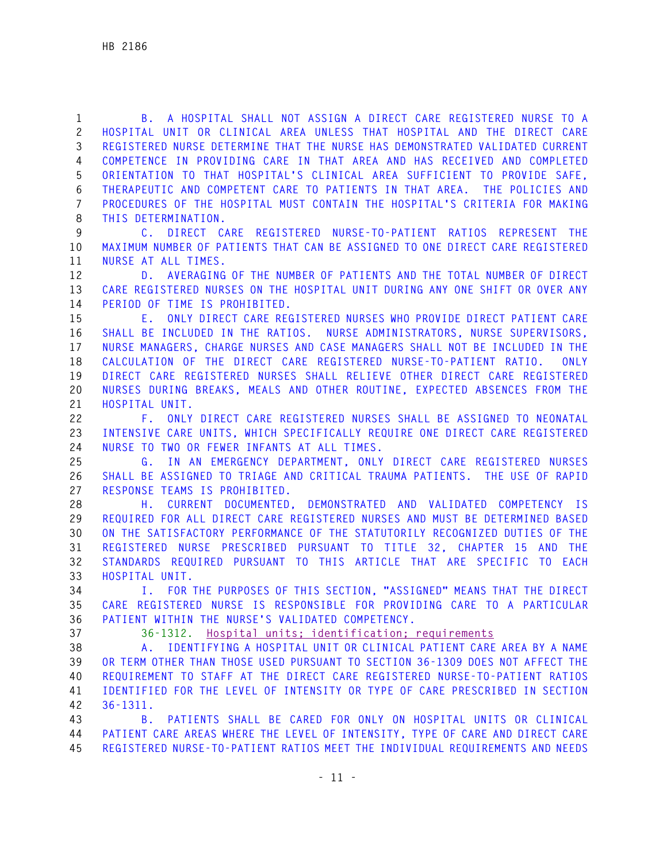**1 B. A HOSPITAL SHALL NOT ASSIGN A DIRECT CARE REGISTERED NURSE TO A 2 HOSPITAL UNIT OR CLINICAL AREA UNLESS THAT HOSPITAL AND THE DIRECT CARE 3 REGISTERED NURSE DETERMINE THAT THE NURSE HAS DEMONSTRATED VALIDATED CURRENT 4 COMPETENCE IN PROVIDING CARE IN THAT AREA AND HAS RECEIVED AND COMPLETED 5 ORIENTATION TO THAT HOSPITAL'S CLINICAL AREA SUFFICIENT TO PROVIDE SAFE, 6 THERAPEUTIC AND COMPETENT CARE TO PATIENTS IN THAT AREA. THE POLICIES AND 7 PROCEDURES OF THE HOSPITAL MUST CONTAIN THE HOSPITAL'S CRITERIA FOR MAKING 8 THIS DETERMINATION.** 

**9 C. DIRECT CARE REGISTERED NURSE-TO-PATIENT RATIOS REPRESENT THE 10 MAXIMUM NUMBER OF PATIENTS THAT CAN BE ASSIGNED TO ONE DIRECT CARE REGISTERED 11 NURSE AT ALL TIMES.** 

**12 D. AVERAGING OF THE NUMBER OF PATIENTS AND THE TOTAL NUMBER OF DIRECT 13 CARE REGISTERED NURSES ON THE HOSPITAL UNIT DURING ANY ONE SHIFT OR OVER ANY 14 PERIOD OF TIME IS PROHIBITED.** 

**15 E. ONLY DIRECT CARE REGISTERED NURSES WHO PROVIDE DIRECT PATIENT CARE 16 SHALL BE INCLUDED IN THE RATIOS. NURSE ADMINISTRATORS, NURSE SUPERVISORS, 17 NURSE MANAGERS, CHARGE NURSES AND CASE MANAGERS SHALL NOT BE INCLUDED IN THE 18 CALCULATION OF THE DIRECT CARE REGISTERED NURSE-TO-PATIENT RATIO. ONLY 19 DIRECT CARE REGISTERED NURSES SHALL RELIEVE OTHER DIRECT CARE REGISTERED 20 NURSES DURING BREAKS, MEALS AND OTHER ROUTINE, EXPECTED ABSENCES FROM THE 21 HOSPITAL UNIT.** 

**22 F. ONLY DIRECT CARE REGISTERED NURSES SHALL BE ASSIGNED TO NEONATAL 23 INTENSIVE CARE UNITS, WHICH SPECIFICALLY REQUIRE ONE DIRECT CARE REGISTERED 24 NURSE TO TWO OR FEWER INFANTS AT ALL TIMES.** 

**25 G. IN AN EMERGENCY DEPARTMENT, ONLY DIRECT CARE REGISTERED NURSES 26 SHALL BE ASSIGNED TO TRIAGE AND CRITICAL TRAUMA PATIENTS. THE USE OF RAPID 27 RESPONSE TEAMS IS PROHIBITED.** 

**28 H. CURRENT DOCUMENTED, DEMONSTRATED AND VALIDATED COMPETENCY IS 29 REQUIRED FOR ALL DIRECT CARE REGISTERED NURSES AND MUST BE DETERMINED BASED 30 ON THE SATISFACTORY PERFORMANCE OF THE STATUTORILY RECOGNIZED DUTIES OF THE 31 REGISTERED NURSE PRESCRIBED PURSUANT TO TITLE 32, CHAPTER 15 AND THE 32 STANDARDS REQUIRED PURSUANT TO THIS ARTICLE THAT ARE SPECIFIC TO EACH 33 HOSPITAL UNIT.** 

**34 I. FOR THE PURPOSES OF THIS SECTION, "ASSIGNED" MEANS THAT THE DIRECT 35 CARE REGISTERED NURSE IS RESPONSIBLE FOR PROVIDING CARE TO A PARTICULAR 36 PATIENT WITHIN THE NURSE'S VALIDATED COMPETENCY.** 

**37 36-1312. Hospital units; identification; requirements**

**38 A. IDENTIFYING A HOSPITAL UNIT OR CLINICAL PATIENT CARE AREA BY A NAME 39 OR TERM OTHER THAN THOSE USED PURSUANT TO SECTION 36-1309 DOES NOT AFFECT THE 40 REQUIREMENT TO STAFF AT THE DIRECT CARE REGISTERED NURSE-TO-PATIENT RATIOS 41 IDENTIFIED FOR THE LEVEL OF INTENSITY OR TYPE OF CARE PRESCRIBED IN SECTION 42 36-1311.** 

**43 B. PATIENTS SHALL BE CARED FOR ONLY ON HOSPITAL UNITS OR CLINICAL 44 PATIENT CARE AREAS WHERE THE LEVEL OF INTENSITY, TYPE OF CARE AND DIRECT CARE 45 REGISTERED NURSE-TO-PATIENT RATIOS MEET THE INDIVIDUAL REQUIREMENTS AND NEEDS**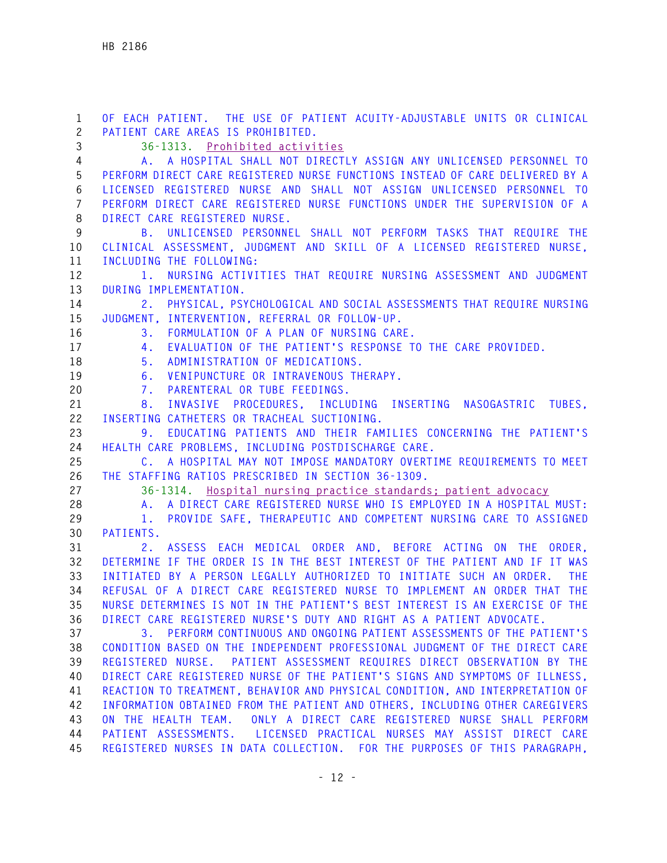**1 OF EACH PATIENT. THE USE OF PATIENT ACUITY-ADJUSTABLE UNITS OR CLINICAL 2 PATIENT CARE AREAS IS PROHIBITED. 3 36-1313. Prohibited activities 4 A. A HOSPITAL SHALL NOT DIRECTLY ASSIGN ANY UNLICENSED PERSONNEL TO 5 PERFORM DIRECT CARE REGISTERED NURSE FUNCTIONS INSTEAD OF CARE DELIVERED BY A 6 LICENSED REGISTERED NURSE AND SHALL NOT ASSIGN UNLICENSED PERSONNEL TO 7 PERFORM DIRECT CARE REGISTERED NURSE FUNCTIONS UNDER THE SUPERVISION OF A 8 DIRECT CARE REGISTERED NURSE. 9 B. UNLICENSED PERSONNEL SHALL NOT PERFORM TASKS THAT REQUIRE THE 10 CLINICAL ASSESSMENT, JUDGMENT AND SKILL OF A LICENSED REGISTERED NURSE, 11 INCLUDING THE FOLLOWING: 12 1. NURSING ACTIVITIES THAT REQUIRE NURSING ASSESSMENT AND JUDGMENT 13 DURING IMPLEMENTATION. 14 2. PHYSICAL, PSYCHOLOGICAL AND SOCIAL ASSESSMENTS THAT REQUIRE NURSING 15 JUDGMENT, INTERVENTION, REFERRAL OR FOLLOW-UP. 16 3. FORMULATION OF A PLAN OF NURSING CARE. 17 4. EVALUATION OF THE PATIENT'S RESPONSE TO THE CARE PROVIDED. 18 5. ADMINISTRATION OF MEDICATIONS. 19 6. VENIPUNCTURE OR INTRAVENOUS THERAPY. 20 7. PARENTERAL OR TUBE FEEDINGS. 21 8. INVASIVE PROCEDURES, INCLUDING INSERTING NASOGASTRIC TUBES, 22 INSERTING CATHETERS OR TRACHEAL SUCTIONING. 23 9. EDUCATING PATIENTS AND THEIR FAMILIES CONCERNING THE PATIENT'S 24 HEALTH CARE PROBLEMS, INCLUDING POSTDISCHARGE CARE. 25 C. A HOSPITAL MAY NOT IMPOSE MANDATORY OVERTIME REQUIREMENTS TO MEET 26 THE STAFFING RATIOS PRESCRIBED IN SECTION 36-1309. 27 36-1314. Hospital nursing practice standards; patient advocacy 28 A. A DIRECT CARE REGISTERED NURSE WHO IS EMPLOYED IN A HOSPITAL MUST: 29 1. PROVIDE SAFE, THERAPEUTIC AND COMPETENT NURSING CARE TO ASSIGNED 30 PATIENTS. 31 2. ASSESS EACH MEDICAL ORDER AND, BEFORE ACTING ON THE ORDER, 32 DETERMINE IF THE ORDER IS IN THE BEST INTEREST OF THE PATIENT AND IF IT WAS 33 INITIATED BY A PERSON LEGALLY AUTHORIZED TO INITIATE SUCH AN ORDER. THE 34 REFUSAL OF A DIRECT CARE REGISTERED NURSE TO IMPLEMENT AN ORDER THAT THE 35 NURSE DETERMINES IS NOT IN THE PATIENT'S BEST INTEREST IS AN EXERCISE OF THE 36 DIRECT CARE REGISTERED NURSE'S DUTY AND RIGHT AS A PATIENT ADVOCATE. 37 3. PERFORM CONTINUOUS AND ONGOING PATIENT ASSESSMENTS OF THE PATIENT'S 38 CONDITION BASED ON THE INDEPENDENT PROFESSIONAL JUDGMENT OF THE DIRECT CARE 39 REGISTERED NURSE. PATIENT ASSESSMENT REQUIRES DIRECT OBSERVATION BY THE 40 DIRECT CARE REGISTERED NURSE OF THE PATIENT'S SIGNS AND SYMPTOMS OF ILLNESS, 41 REACTION TO TREATMENT, BEHAVIOR AND PHYSICAL CONDITION, AND INTERPRETATION OF 42 INFORMATION OBTAINED FROM THE PATIENT AND OTHERS, INCLUDING OTHER CAREGIVERS 43 ON THE HEALTH TEAM. ONLY A DIRECT CARE REGISTERED NURSE SHALL PERFORM 44 PATIENT ASSESSMENTS. LICENSED PRACTICAL NURSES MAY ASSIST DIRECT CARE 45 REGISTERED NURSES IN DATA COLLECTION. FOR THE PURPOSES OF THIS PARAGRAPH,**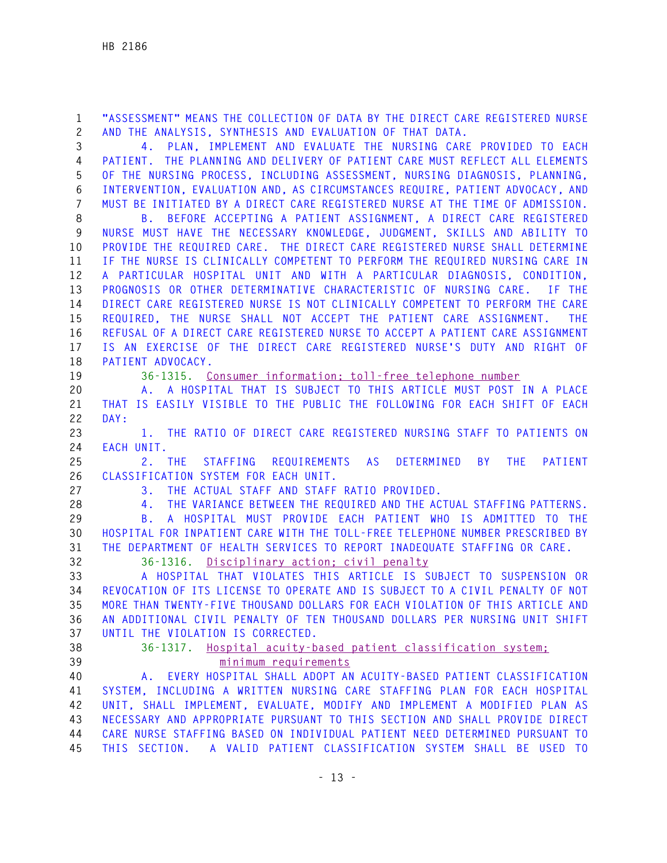**1 "ASSESSMENT" MEANS THE COLLECTION OF DATA BY THE DIRECT CARE REGISTERED NURSE 2 AND THE ANALYSIS, SYNTHESIS AND EVALUATION OF THAT DATA.** 

**3 4. PLAN, IMPLEMENT AND EVALUATE THE NURSING CARE PROVIDED TO EACH 4 PATIENT. THE PLANNING AND DELIVERY OF PATIENT CARE MUST REFLECT ALL ELEMENTS 5 OF THE NURSING PROCESS, INCLUDING ASSESSMENT, NURSING DIAGNOSIS, PLANNING, 6 INTERVENTION, EVALUATION AND, AS CIRCUMSTANCES REQUIRE, PATIENT ADVOCACY, AND 7 MUST BE INITIATED BY A DIRECT CARE REGISTERED NURSE AT THE TIME OF ADMISSION.** 

**8 B. BEFORE ACCEPTING A PATIENT ASSIGNMENT, A DIRECT CARE REGISTERED 9 NURSE MUST HAVE THE NECESSARY KNOWLEDGE, JUDGMENT, SKILLS AND ABILITY TO 10 PROVIDE THE REQUIRED CARE. THE DIRECT CARE REGISTERED NURSE SHALL DETERMINE 11 IF THE NURSE IS CLINICALLY COMPETENT TO PERFORM THE REQUIRED NURSING CARE IN 12 A PARTICULAR HOSPITAL UNIT AND WITH A PARTICULAR DIAGNOSIS, CONDITION, 13 PROGNOSIS OR OTHER DETERMINATIVE CHARACTERISTIC OF NURSING CARE. IF THE 14 DIRECT CARE REGISTERED NURSE IS NOT CLINICALLY COMPETENT TO PERFORM THE CARE 15 REQUIRED, THE NURSE SHALL NOT ACCEPT THE PATIENT CARE ASSIGNMENT. THE 16 REFUSAL OF A DIRECT CARE REGISTERED NURSE TO ACCEPT A PATIENT CARE ASSIGNMENT 17 IS AN EXERCISE OF THE DIRECT CARE REGISTERED NURSE'S DUTY AND RIGHT OF 18 PATIENT ADVOCACY.** 

**19 36-1315. Consumer information; toll-free telephone number**

**20 A. A HOSPITAL THAT IS SUBJECT TO THIS ARTICLE MUST POST IN A PLACE 21 THAT IS EASILY VISIBLE TO THE PUBLIC THE FOLLOWING FOR EACH SHIFT OF EACH 22 DAY:** 

**23 1. THE RATIO OF DIRECT CARE REGISTERED NURSING STAFF TO PATIENTS ON 24 EACH UNIT.** 

**25 2. THE STAFFING REQUIREMENTS AS DETERMINED BY THE PATIENT 26 CLASSIFICATION SYSTEM FOR EACH UNIT.** 

**27 3. THE ACTUAL STAFF AND STAFF RATIO PROVIDED.** 

**28 4. THE VARIANCE BETWEEN THE REQUIRED AND THE ACTUAL STAFFING PATTERNS.** 

**29 B. A HOSPITAL MUST PROVIDE EACH PATIENT WHO IS ADMITTED TO THE 30 HOSPITAL FOR INPATIENT CARE WITH THE TOLL-FREE TELEPHONE NUMBER PRESCRIBED BY 31 THE DEPARTMENT OF HEALTH SERVICES TO REPORT INADEQUATE STAFFING OR CARE.** 

**32 36-1316. Disciplinary action; civil penalty**

**33 A HOSPITAL THAT VIOLATES THIS ARTICLE IS SUBJECT TO SUSPENSION OR 34 REVOCATION OF ITS LICENSE TO OPERATE AND IS SUBJECT TO A CIVIL PENALTY OF NOT 35 MORE THAN TWENTY-FIVE THOUSAND DOLLARS FOR EACH VIOLATION OF THIS ARTICLE AND 36 AN ADDITIONAL CIVIL PENALTY OF TEN THOUSAND DOLLARS PER NURSING UNIT SHIFT 37 UNTIL THE VIOLATION IS CORRECTED.** 

**38 36-1317. Hospital acuity-based patient classification system; 39 minimum requirements**

**40 A. EVERY HOSPITAL SHALL ADOPT AN ACUITY-BASED PATIENT CLASSIFICATION 41 SYSTEM, INCLUDING A WRITTEN NURSING CARE STAFFING PLAN FOR EACH HOSPITAL 42 UNIT, SHALL IMPLEMENT, EVALUATE, MODIFY AND IMPLEMENT A MODIFIED PLAN AS 43 NECESSARY AND APPROPRIATE PURSUANT TO THIS SECTION AND SHALL PROVIDE DIRECT 44 CARE NURSE STAFFING BASED ON INDIVIDUAL PATIENT NEED DETERMINED PURSUANT TO 45 THIS SECTION. A VALID PATIENT CLASSIFICATION SYSTEM SHALL BE USED TO**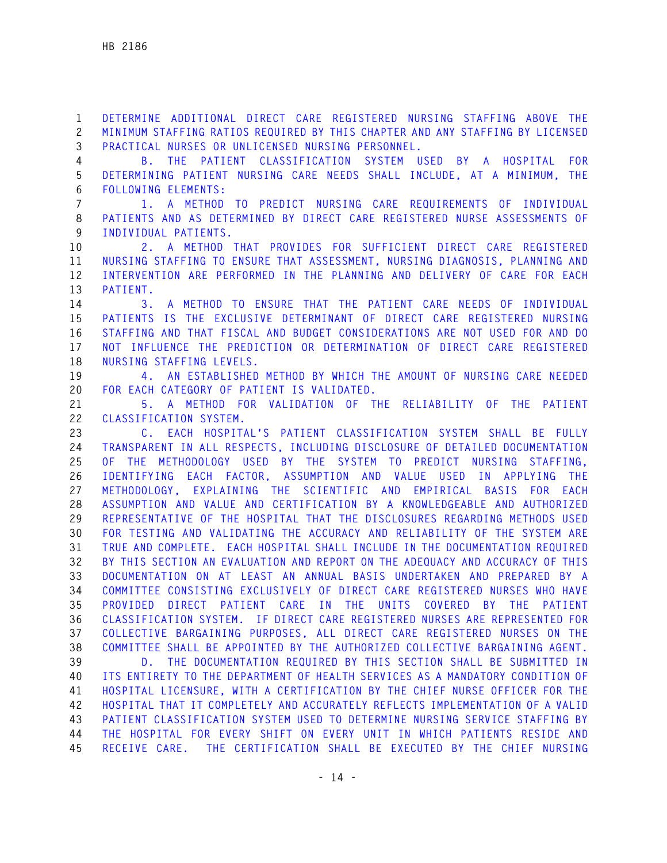**1 DETERMINE ADDITIONAL DIRECT CARE REGISTERED NURSING STAFFING ABOVE THE 2 MINIMUM STAFFING RATIOS REQUIRED BY THIS CHAPTER AND ANY STAFFING BY LICENSED 3 PRACTICAL NURSES OR UNLICENSED NURSING PERSONNEL.** 

**4 B. THE PATIENT CLASSIFICATION SYSTEM USED BY A HOSPITAL FOR 5 DETERMINING PATIENT NURSING CARE NEEDS SHALL INCLUDE, AT A MINIMUM, THE 6 FOLLOWING ELEMENTS:** 

**7 1. A METHOD TO PREDICT NURSING CARE REQUIREMENTS OF INDIVIDUAL 8 PATIENTS AND AS DETERMINED BY DIRECT CARE REGISTERED NURSE ASSESSMENTS OF 9 INDIVIDUAL PATIENTS.** 

**10 2. A METHOD THAT PROVIDES FOR SUFFICIENT DIRECT CARE REGISTERED 11 NURSING STAFFING TO ENSURE THAT ASSESSMENT, NURSING DIAGNOSIS, PLANNING AND 12 INTERVENTION ARE PERFORMED IN THE PLANNING AND DELIVERY OF CARE FOR EACH 13 PATIENT.** 

**14 3. A METHOD TO ENSURE THAT THE PATIENT CARE NEEDS OF INDIVIDUAL 15 PATIENTS IS THE EXCLUSIVE DETERMINANT OF DIRECT CARE REGISTERED NURSING 16 STAFFING AND THAT FISCAL AND BUDGET CONSIDERATIONS ARE NOT USED FOR AND DO 17 NOT INFLUENCE THE PREDICTION OR DETERMINATION OF DIRECT CARE REGISTERED 18 NURSING STAFFING LEVELS.** 

**19 4. AN ESTABLISHED METHOD BY WHICH THE AMOUNT OF NURSING CARE NEEDED 20 FOR EACH CATEGORY OF PATIENT IS VALIDATED.** 

**21 5. A METHOD FOR VALIDATION OF THE RELIABILITY OF THE PATIENT 22 CLASSIFICATION SYSTEM.** 

**23 C. EACH HOSPITAL'S PATIENT CLASSIFICATION SYSTEM SHALL BE FULLY 24 TRANSPARENT IN ALL RESPECTS, INCLUDING DISCLOSURE OF DETAILED DOCUMENTATION 25 OF THE METHODOLOGY USED BY THE SYSTEM TO PREDICT NURSING STAFFING, 26 IDENTIFYING EACH FACTOR, ASSUMPTION AND VALUE USED IN APPLYING THE 27 METHODOLOGY, EXPLAINING THE SCIENTIFIC AND EMPIRICAL BASIS FOR EACH 28 ASSUMPTION AND VALUE AND CERTIFICATION BY A KNOWLEDGEABLE AND AUTHORIZED 29 REPRESENTATIVE OF THE HOSPITAL THAT THE DISCLOSURES REGARDING METHODS USED 30 FOR TESTING AND VALIDATING THE ACCURACY AND RELIABILITY OF THE SYSTEM ARE 31 TRUE AND COMPLETE. EACH HOSPITAL SHALL INCLUDE IN THE DOCUMENTATION REQUIRED 32 BY THIS SECTION AN EVALUATION AND REPORT ON THE ADEQUACY AND ACCURACY OF THIS 33 DOCUMENTATION ON AT LEAST AN ANNUAL BASIS UNDERTAKEN AND PREPARED BY A 34 COMMITTEE CONSISTING EXCLUSIVELY OF DIRECT CARE REGISTERED NURSES WHO HAVE 35 PROVIDED DIRECT PATIENT CARE IN THE UNITS COVERED BY THE PATIENT 36 CLASSIFICATION SYSTEM. IF DIRECT CARE REGISTERED NURSES ARE REPRESENTED FOR 37 COLLECTIVE BARGAINING PURPOSES, ALL DIRECT CARE REGISTERED NURSES ON THE 38 COMMITTEE SHALL BE APPOINTED BY THE AUTHORIZED COLLECTIVE BARGAINING AGENT.** 

**39 D. THE DOCUMENTATION REQUIRED BY THIS SECTION SHALL BE SUBMITTED IN 40 ITS ENTIRETY TO THE DEPARTMENT OF HEALTH SERVICES AS A MANDATORY CONDITION OF 41 HOSPITAL LICENSURE, WITH A CERTIFICATION BY THE CHIEF NURSE OFFICER FOR THE 42 HOSPITAL THAT IT COMPLETELY AND ACCURATELY REFLECTS IMPLEMENTATION OF A VALID 43 PATIENT CLASSIFICATION SYSTEM USED TO DETERMINE NURSING SERVICE STAFFING BY 44 THE HOSPITAL FOR EVERY SHIFT ON EVERY UNIT IN WHICH PATIENTS RESIDE AND 45 RECEIVE CARE. THE CERTIFICATION SHALL BE EXECUTED BY THE CHIEF NURSING**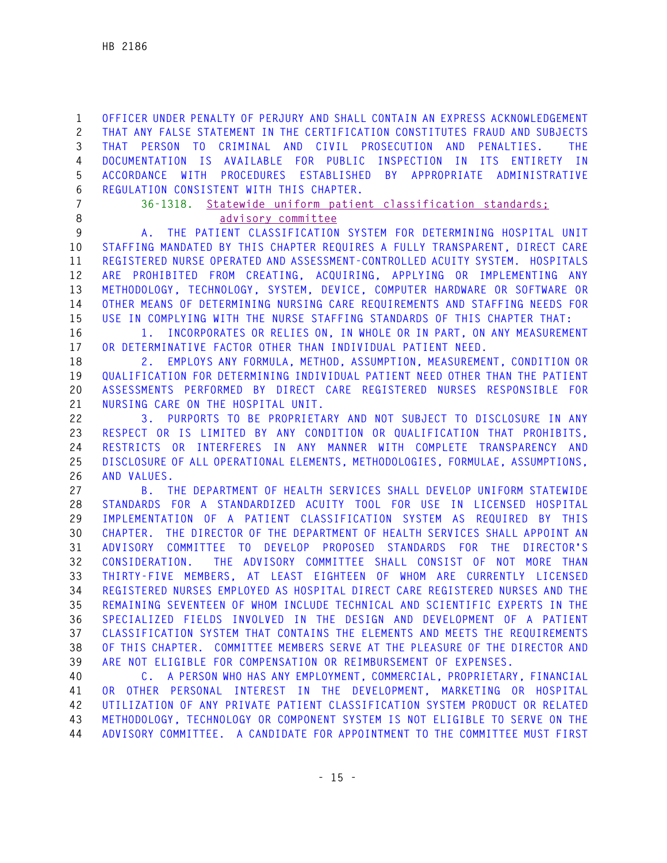**1 OFFICER UNDER PENALTY OF PERJURY AND SHALL CONTAIN AN EXPRESS ACKNOWLEDGEMENT 2 THAT ANY FALSE STATEMENT IN THE CERTIFICATION CONSTITUTES FRAUD AND SUBJECTS 3 THAT PERSON TO CRIMINAL AND CIVIL PROSECUTION AND PENALTIES. THE 4 DOCUMENTATION IS AVAILABLE FOR PUBLIC INSPECTION IN ITS ENTIRETY IN 5 ACCORDANCE WITH PROCEDURES ESTABLISHED BY APPROPRIATE ADMINISTRATIVE 6 REGULATION CONSISTENT WITH THIS CHAPTER.** 

**7 36-1318. Statewide uniform patient classification standards; 8 advisory committee**

**9 A. THE PATIENT CLASSIFICATION SYSTEM FOR DETERMINING HOSPITAL UNIT 10 STAFFING MANDATED BY THIS CHAPTER REQUIRES A FULLY TRANSPARENT, DIRECT CARE 11 REGISTERED NURSE OPERATED AND ASSESSMENT-CONTROLLED ACUITY SYSTEM. HOSPITALS 12 ARE PROHIBITED FROM CREATING, ACQUIRING, APPLYING OR IMPLEMENTING ANY 13 METHODOLOGY, TECHNOLOGY, SYSTEM, DEVICE, COMPUTER HARDWARE OR SOFTWARE OR 14 OTHER MEANS OF DETERMINING NURSING CARE REQUIREMENTS AND STAFFING NEEDS FOR 15 USE IN COMPLYING WITH THE NURSE STAFFING STANDARDS OF THIS CHAPTER THAT:** 

**16 1. INCORPORATES OR RELIES ON, IN WHOLE OR IN PART, ON ANY MEASUREMENT 17 OR DETERMINATIVE FACTOR OTHER THAN INDIVIDUAL PATIENT NEED.** 

**18 2. EMPLOYS ANY FORMULA, METHOD, ASSUMPTION, MEASUREMENT, CONDITION OR 19 QUALIFICATION FOR DETERMINING INDIVIDUAL PATIENT NEED OTHER THAN THE PATIENT 20 ASSESSMENTS PERFORMED BY DIRECT CARE REGISTERED NURSES RESPONSIBLE FOR 21 NURSING CARE ON THE HOSPITAL UNIT.** 

**22 3. PURPORTS TO BE PROPRIETARY AND NOT SUBJECT TO DISCLOSURE IN ANY 23 RESPECT OR IS LIMITED BY ANY CONDITION OR QUALIFICATION THAT PROHIBITS, 24 RESTRICTS OR INTERFERES IN ANY MANNER WITH COMPLETE TRANSPARENCY AND 25 DISCLOSURE OF ALL OPERATIONAL ELEMENTS, METHODOLOGIES, FORMULAE, ASSUMPTIONS, 26 AND VALUES.** 

**27 B. THE DEPARTMENT OF HEALTH SERVICES SHALL DEVELOP UNIFORM STATEWIDE 28 STANDARDS FOR A STANDARDIZED ACUITY TOOL FOR USE IN LICENSED HOSPITAL 29 IMPLEMENTATION OF A PATIENT CLASSIFICATION SYSTEM AS REQUIRED BY THIS 30 CHAPTER. THE DIRECTOR OF THE DEPARTMENT OF HEALTH SERVICES SHALL APPOINT AN 31 ADVISORY COMMITTEE TO DEVELOP PROPOSED STANDARDS FOR THE DIRECTOR'S 32 CONSIDERATION. THE ADVISORY COMMITTEE SHALL CONSIST OF NOT MORE THAN 33 THIRTY-FIVE MEMBERS, AT LEAST EIGHTEEN OF WHOM ARE CURRENTLY LICENSED 34 REGISTERED NURSES EMPLOYED AS HOSPITAL DIRECT CARE REGISTERED NURSES AND THE 35 REMAINING SEVENTEEN OF WHOM INCLUDE TECHNICAL AND SCIENTIFIC EXPERTS IN THE 36 SPECIALIZED FIELDS INVOLVED IN THE DESIGN AND DEVELOPMENT OF A PATIENT 37 CLASSIFICATION SYSTEM THAT CONTAINS THE ELEMENTS AND MEETS THE REQUIREMENTS 38 OF THIS CHAPTER. COMMITTEE MEMBERS SERVE AT THE PLEASURE OF THE DIRECTOR AND 39 ARE NOT ELIGIBLE FOR COMPENSATION OR REIMBURSEMENT OF EXPENSES.** 

**40 C. A PERSON WHO HAS ANY EMPLOYMENT, COMMERCIAL, PROPRIETARY, FINANCIAL 41 OR OTHER PERSONAL INTEREST IN THE DEVELOPMENT, MARKETING OR HOSPITAL 42 UTILIZATION OF ANY PRIVATE PATIENT CLASSIFICATION SYSTEM PRODUCT OR RELATED 43 METHODOLOGY, TECHNOLOGY OR COMPONENT SYSTEM IS NOT ELIGIBLE TO SERVE ON THE 44 ADVISORY COMMITTEE. A CANDIDATE FOR APPOINTMENT TO THE COMMITTEE MUST FIRST**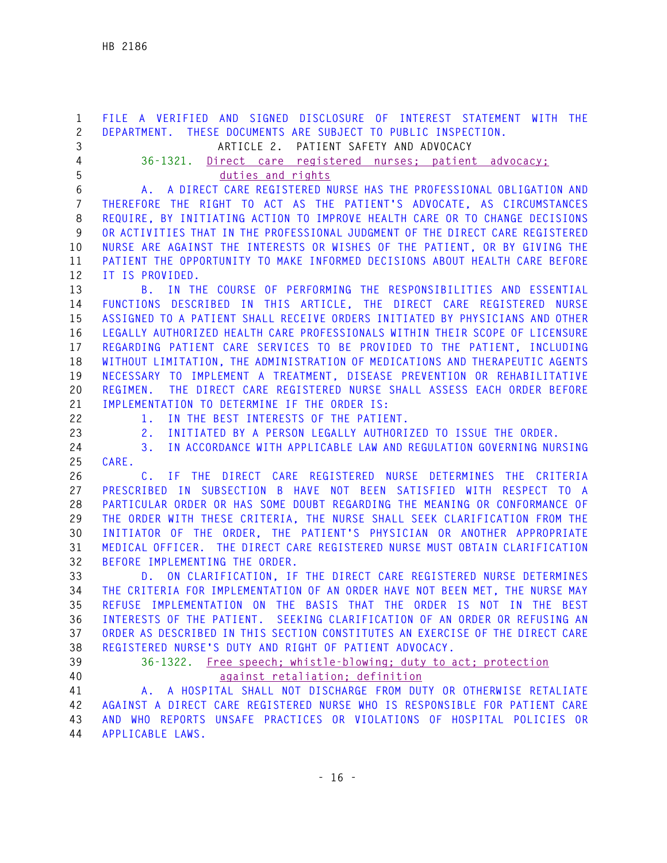**1 FILE A VERIFIED AND SIGNED DISCLOSURE OF INTEREST STATEMENT WITH THE 2 DEPARTMENT. THESE DOCUMENTS ARE SUBJECT TO PUBLIC INSPECTION. 3 ARTICLE 2. PATIENT SAFETY AND ADVOCACY 4 36-1321. Direct care registered nurses; patient advocacy; 5 duties and rights 6 A. A DIRECT CARE REGISTERED NURSE HAS THE PROFESSIONAL OBLIGATION AND 7 THEREFORE THE RIGHT TO ACT AS THE PATIENT'S ADVOCATE, AS CIRCUMSTANCES 8 REQUIRE, BY INITIATING ACTION TO IMPROVE HEALTH CARE OR TO CHANGE DECISIONS 9 OR ACTIVITIES THAT IN THE PROFESSIONAL JUDGMENT OF THE DIRECT CARE REGISTERED 10 NURSE ARE AGAINST THE INTERESTS OR WISHES OF THE PATIENT, OR BY GIVING THE 11 PATIENT THE OPPORTUNITY TO MAKE INFORMED DECISIONS ABOUT HEALTH CARE BEFORE 12 IT IS PROVIDED. 13 B. IN THE COURSE OF PERFORMING THE RESPONSIBILITIES AND ESSENTIAL 14 FUNCTIONS DESCRIBED IN THIS ARTICLE, THE DIRECT CARE REGISTERED NURSE 15 ASSIGNED TO A PATIENT SHALL RECEIVE ORDERS INITIATED BY PHYSICIANS AND OTHER 16 LEGALLY AUTHORIZED HEALTH CARE PROFESSIONALS WITHIN THEIR SCOPE OF LICENSURE 17 REGARDING PATIENT CARE SERVICES TO BE PROVIDED TO THE PATIENT, INCLUDING 18 WITHOUT LIMITATION, THE ADMINISTRATION OF MEDICATIONS AND THERAPEUTIC AGENTS 19 NECESSARY TO IMPLEMENT A TREATMENT, DISEASE PREVENTION OR REHABILITATIVE 20 REGIMEN. THE DIRECT CARE REGISTERED NURSE SHALL ASSESS EACH ORDER BEFORE 21 IMPLEMENTATION TO DETERMINE IF THE ORDER IS: 22 1. IN THE BEST INTERESTS OF THE PATIENT. 23 2. INITIATED BY A PERSON LEGALLY AUTHORIZED TO ISSUE THE ORDER. 24 3. IN ACCORDANCE WITH APPLICABLE LAW AND REGULATION GOVERNING NURSING 25 CARE. 26 C. IF THE DIRECT CARE REGISTERED NURSE DETERMINES THE CRITERIA 27 PRESCRIBED IN SUBSECTION B HAVE NOT BEEN SATISFIED WITH RESPECT TO A 28 PARTICULAR ORDER OR HAS SOME DOUBT REGARDING THE MEANING OR CONFORMANCE OF 29 THE ORDER WITH THESE CRITERIA, THE NURSE SHALL SEEK CLARIFICATION FROM THE 30 INITIATOR OF THE ORDER, THE PATIENT'S PHYSICIAN OR ANOTHER APPROPRIATE 31 MEDICAL OFFICER. THE DIRECT CARE REGISTERED NURSE MUST OBTAIN CLARIFICATION 32 BEFORE IMPLEMENTING THE ORDER. 33 D. ON CLARIFICATION, IF THE DIRECT CARE REGISTERED NURSE DETERMINES 34 THE CRITERIA FOR IMPLEMENTATION OF AN ORDER HAVE NOT BEEN MET, THE NURSE MAY 35 REFUSE IMPLEMENTATION ON THE BASIS THAT THE ORDER IS NOT IN THE BEST 36 INTERESTS OF THE PATIENT. SEEKING CLARIFICATION OF AN ORDER OR REFUSING AN 37 ORDER AS DESCRIBED IN THIS SECTION CONSTITUTES AN EXERCISE OF THE DIRECT CARE 38 REGISTERED NURSE'S DUTY AND RIGHT OF PATIENT ADVOCACY. 39 36-1322. Free speech; whistle-blowing; duty to act; protection 40 against retaliation; definition 41 A. A HOSPITAL SHALL NOT DISCHARGE FROM DUTY OR OTHERWISE RETALIATE 42 AGAINST A DIRECT CARE REGISTERED NURSE WHO IS RESPONSIBLE FOR PATIENT CARE 43 AND WHO REPORTS UNSAFE PRACTICES OR VIOLATIONS OF HOSPITAL POLICIES OR** 

**44 APPLICABLE LAWS.**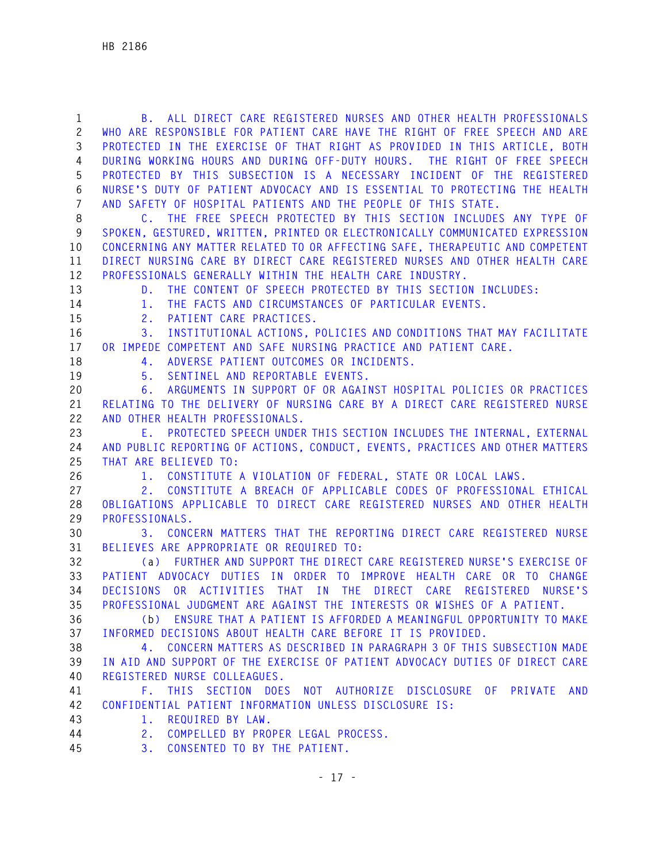| $\mathbf{1}$<br>$\mathbf{2}$ | B. ALL DIRECT CARE REGISTERED NURSES AND OTHER HEALTH PROFESSIONALS<br>WHO ARE RESPONSIBLE FOR PATIENT CARE HAVE THE RIGHT OF FREE SPEECH AND ARE |
|------------------------------|---------------------------------------------------------------------------------------------------------------------------------------------------|
| 3                            | PROTECTED IN THE EXERCISE OF THAT RIGHT AS PROVIDED IN THIS ARTICLE, BOTH                                                                         |
| 4                            | DURING WORKING HOURS AND DURING OFF-DUTY HOURS. THE RIGHT OF FREE SPEECH                                                                          |
| 5                            | PROTECTED BY THIS SUBSECTION IS A NECESSARY INCIDENT OF THE REGISTERED                                                                            |
| 6                            | NURSE'S DUTY OF PATIENT ADVOCACY AND IS ESSENTIAL TO PROTECTING THE HEALTH                                                                        |
| 7                            | AND SAFETY OF HOSPITAL PATIENTS AND THE PEOPLE OF THIS STATE.                                                                                     |
| 8                            | C. THE FREE SPEECH PROTECTED BY THIS SECTION INCLUDES ANY TYPE OF                                                                                 |
| 9                            | SPOKEN, GESTURED, WRITTEN, PRINTED OR ELECTRONICALLY COMMUNICATED EXPRESSION                                                                      |
| 10                           | CONCERNING ANY MATTER RELATED TO OR AFFECTING SAFE, THERAPEUTIC AND COMPETENT                                                                     |
| 11                           | DIRECT NURSING CARE BY DIRECT CARE REGISTERED NURSES AND OTHER HEALTH CARE                                                                        |
| 12                           | PROFESSIONALS GENERALLY WITHIN THE HEALTH CARE INDUSTRY.                                                                                          |
| 13                           | THE CONTENT OF SPEECH PROTECTED BY THIS SECTION INCLUDES:<br>D.                                                                                   |
| 14                           | THE FACTS AND CIRCUMSTANCES OF PARTICULAR EVENTS.<br>1.                                                                                           |
| 15                           | PATIENT CARE PRACTICES.<br>2.                                                                                                                     |
| 16                           | INSTITUTIONAL ACTIONS, POLICIES AND CONDITIONS THAT MAY FACILITATE<br>3.                                                                          |
| 17                           | OR IMPEDE COMPETENT AND SAFE NURSING PRACTICE AND PATIENT CARE.                                                                                   |
| 18                           | ADVERSE PATIENT OUTCOMES OR INCIDENTS.<br>4.                                                                                                      |
| 19                           | SENTINEL AND REPORTABLE EVENTS.<br>5.                                                                                                             |
| 20                           | ARGUMENTS IN SUPPORT OF OR AGAINST HOSPITAL POLICIES OR PRACTICES<br>6.                                                                           |
| 21                           | RELATING TO THE DELIVERY OF NURSING CARE BY A DIRECT CARE REGISTERED NURSE                                                                        |
| 22                           | AND OTHER HEALTH PROFESSIONALS.                                                                                                                   |
| 23                           | E. PROTECTED SPEECH UNDER THIS SECTION INCLUDES THE INTERNAL, EXTERNAL                                                                            |
| 24                           | AND PUBLIC REPORTING OF ACTIONS, CONDUCT, EVENTS, PRACTICES AND OTHER MATTERS                                                                     |
| 25                           | THAT ARE BELIEVED TO:                                                                                                                             |
| 26                           | 1. CONSTITUTE A VIOLATION OF FEDERAL, STATE OR LOCAL LAWS.                                                                                        |
| 27                           | CONSTITUTE A BREACH OF APPLICABLE CODES OF PROFESSIONAL ETHICAL<br>2.                                                                             |
| 28                           | OBLIGATIONS APPLICABLE TO DIRECT CARE REGISTERED NURSES AND OTHER HEALTH                                                                          |
| 29                           | PROFESSIONALS.                                                                                                                                    |
| 30                           | CONCERN MATTERS THAT THE REPORTING DIRECT CARE REGISTERED NURSE<br>3.                                                                             |
| 31                           | BELIEVES ARE APPROPRIATE OR REQUIRED TO:                                                                                                          |
| 32                           | (a) FURTHER AND SUPPORT THE DIRECT CARE REGISTERED NURSE'S EXERCISE OF                                                                            |
| 33                           | PATIENT ADVOCACY DUTIES IN ORDER TO IMPROVE HEALTH CARE OR TO CHANGE                                                                              |
| 34                           | <b>DECISIONS</b><br>OR ACTIVITIES THAT IN THE DIRECT CARE<br><b>REGISTERED</b><br>NURSE'S                                                         |
| 35                           | PROFESSIONAL JUDGMENT ARE AGAINST THE INTERESTS OR WISHES OF A PATIENT.                                                                           |
| 36                           | (b) ENSURE THAT A PATIENT IS AFFORDED A MEANINGFUL OPPORTUNITY TO MAKE                                                                            |
| 37                           | INFORMED DECISIONS ABOUT HEALTH CARE BEFORE IT IS PROVIDED.                                                                                       |
| 38                           | 4. CONCERN MATTERS AS DESCRIBED IN PARAGRAPH 3 OF THIS SUBSECTION MADE                                                                            |
| 39                           | IN AID AND SUPPORT OF THE EXERCISE OF PATIENT ADVOCACY DUTIES OF DIRECT CARE                                                                      |
| 40                           | REGISTERED NURSE COLLEAGUES.                                                                                                                      |
| 41                           | F. THIS SECTION DOES NOT AUTHORIZE DISCLOSURE OF PRIVATE<br><b>AND</b>                                                                            |
| 42                           | CONFIDENTIAL PATIENT INFORMATION UNLESS DISCLOSURE IS:                                                                                            |
| 43<br>44                     | REQUIRED BY LAW.<br>$1$ .                                                                                                                         |
|                              | COMPELLED BY PROPER LEGAL PROCESS.<br>2.                                                                                                          |
| 45                           | CONSENTED TO BY THE PATIENT.<br>3.                                                                                                                |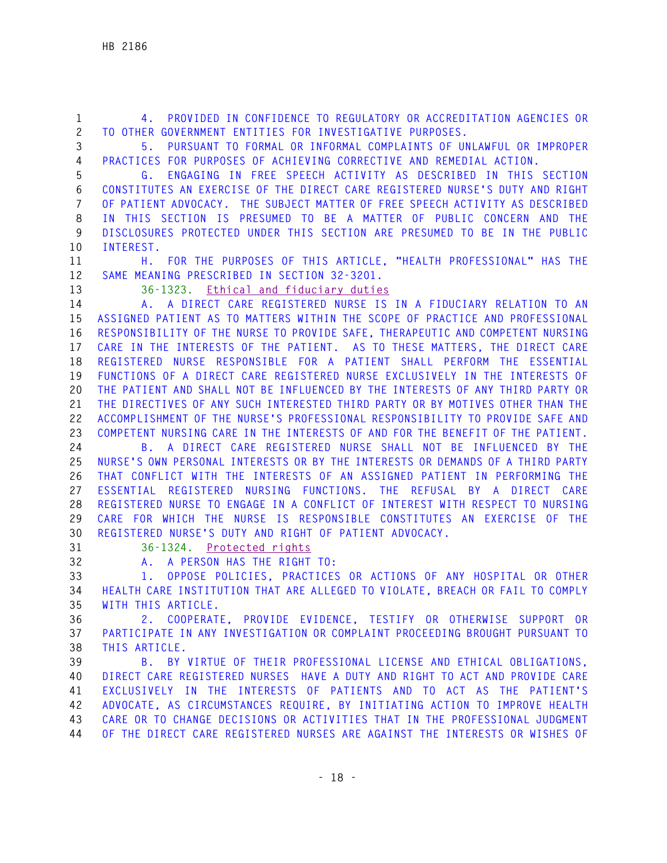**1 4. PROVIDED IN CONFIDENCE TO REGULATORY OR ACCREDITATION AGENCIES OR 2 TO OTHER GOVERNMENT ENTITIES FOR INVESTIGATIVE PURPOSES. 3 5. PURSUANT TO FORMAL OR INFORMAL COMPLAINTS OF UNLAWFUL OR IMPROPER 4 PRACTICES FOR PURPOSES OF ACHIEVING CORRECTIVE AND REMEDIAL ACTION. 5 G. ENGAGING IN FREE SPEECH ACTIVITY AS DESCRIBED IN THIS SECTION 6 CONSTITUTES AN EXERCISE OF THE DIRECT CARE REGISTERED NURSE'S DUTY AND RIGHT 7 OF PATIENT ADVOCACY. THE SUBJECT MATTER OF FREE SPEECH ACTIVITY AS DESCRIBED 8 IN THIS SECTION IS PRESUMED TO BE A MATTER OF PUBLIC CONCERN AND THE 9 DISCLOSURES PROTECTED UNDER THIS SECTION ARE PRESUMED TO BE IN THE PUBLIC 10 INTEREST. 11 H. FOR THE PURPOSES OF THIS ARTICLE, "HEALTH PROFESSIONAL" HAS THE 12 SAME MEANING PRESCRIBED IN SECTION 32-3201. 13 36-1323. Ethical and fiduciary duties 14 A. A DIRECT CARE REGISTERED NURSE IS IN A FIDUCIARY RELATION TO AN 15 ASSIGNED PATIENT AS TO MATTERS WITHIN THE SCOPE OF PRACTICE AND PROFESSIONAL 16 RESPONSIBILITY OF THE NURSE TO PROVIDE SAFE, THERAPEUTIC AND COMPETENT NURSING 17 CARE IN THE INTERESTS OF THE PATIENT. AS TO THESE MATTERS, THE DIRECT CARE 18 REGISTERED NURSE RESPONSIBLE FOR A PATIENT SHALL PERFORM THE ESSENTIAL 19 FUNCTIONS OF A DIRECT CARE REGISTERED NURSE EXCLUSIVELY IN THE INTERESTS OF 20 THE PATIENT AND SHALL NOT BE INFLUENCED BY THE INTERESTS OF ANY THIRD PARTY OR 21 THE DIRECTIVES OF ANY SUCH INTERESTED THIRD PARTY OR BY MOTIVES OTHER THAN THE 22 ACCOMPLISHMENT OF THE NURSE'S PROFESSIONAL RESPONSIBILITY TO PROVIDE SAFE AND 23 COMPETENT NURSING CARE IN THE INTERESTS OF AND FOR THE BENEFIT OF THE PATIENT. 24 B. A DIRECT CARE REGISTERED NURSE SHALL NOT BE INFLUENCED BY THE 25 NURSE'S OWN PERSONAL INTERESTS OR BY THE INTERESTS OR DEMANDS OF A THIRD PARTY 26 THAT CONFLICT WITH THE INTERESTS OF AN ASSIGNED PATIENT IN PERFORMING THE 27 ESSENTIAL REGISTERED NURSING FUNCTIONS. THE REFUSAL BY A DIRECT CARE 28 REGISTERED NURSE TO ENGAGE IN A CONFLICT OF INTEREST WITH RESPECT TO NURSING 29 CARE FOR WHICH THE NURSE IS RESPONSIBLE CONSTITUTES AN EXERCISE OF THE 30 REGISTERED NURSE'S DUTY AND RIGHT OF PATIENT ADVOCACY. 31 36-1324. Protected rights 32 A. A PERSON HAS THE RIGHT TO: 33 1. OPPOSE POLICIES, PRACTICES OR ACTIONS OF ANY HOSPITAL OR OTHER 34 HEALTH CARE INSTITUTION THAT ARE ALLEGED TO VIOLATE, BREACH OR FAIL TO COMPLY 35 WITH THIS ARTICLE. 36 2. COOPERATE, PROVIDE EVIDENCE, TESTIFY OR OTHERWISE SUPPORT OR 37 PARTICIPATE IN ANY INVESTIGATION OR COMPLAINT PROCEEDING BROUGHT PURSUANT TO** 

**38 THIS ARTICLE.** 

**39 B. BY VIRTUE OF THEIR PROFESSIONAL LICENSE AND ETHICAL OBLIGATIONS, 40 DIRECT CARE REGISTERED NURSES HAVE A DUTY AND RIGHT TO ACT AND PROVIDE CARE 41 EXCLUSIVELY IN THE INTERESTS OF PATIENTS AND TO ACT AS THE PATIENT'S 42 ADVOCATE, AS CIRCUMSTANCES REQUIRE, BY INITIATING ACTION TO IMPROVE HEALTH 43 CARE OR TO CHANGE DECISIONS OR ACTIVITIES THAT IN THE PROFESSIONAL JUDGMENT 44 OF THE DIRECT CARE REGISTERED NURSES ARE AGAINST THE INTERESTS OR WISHES OF**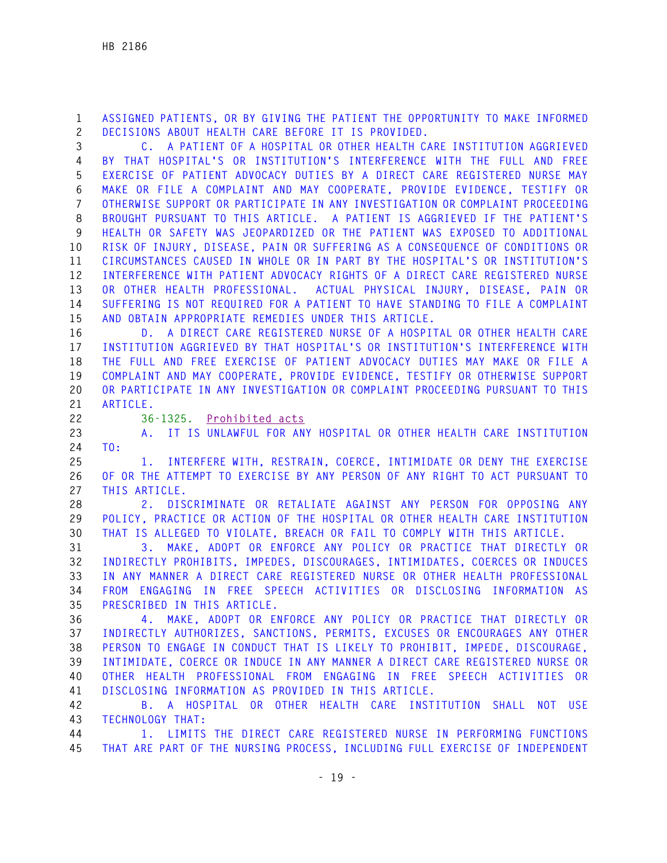**1 ASSIGNED PATIENTS, OR BY GIVING THE PATIENT THE OPPORTUNITY TO MAKE INFORMED 2 DECISIONS ABOUT HEALTH CARE BEFORE IT IS PROVIDED.** 

**3 C. A PATIENT OF A HOSPITAL OR OTHER HEALTH CARE INSTITUTION AGGRIEVED 4 BY THAT HOSPITAL'S OR INSTITUTION'S INTERFERENCE WITH THE FULL AND FREE 5 EXERCISE OF PATIENT ADVOCACY DUTIES BY A DIRECT CARE REGISTERED NURSE MAY 6 MAKE OR FILE A COMPLAINT AND MAY COOPERATE, PROVIDE EVIDENCE, TESTIFY OR 7 OTHERWISE SUPPORT OR PARTICIPATE IN ANY INVESTIGATION OR COMPLAINT PROCEEDING 8 BROUGHT PURSUANT TO THIS ARTICLE. A PATIENT IS AGGRIEVED IF THE PATIENT'S 9 HEALTH OR SAFETY WAS JEOPARDIZED OR THE PATIENT WAS EXPOSED TO ADDITIONAL 10 RISK OF INJURY, DISEASE, PAIN OR SUFFERING AS A CONSEQUENCE OF CONDITIONS OR 11 CIRCUMSTANCES CAUSED IN WHOLE OR IN PART BY THE HOSPITAL'S OR INSTITUTION'S 12 INTERFERENCE WITH PATIENT ADVOCACY RIGHTS OF A DIRECT CARE REGISTERED NURSE 13 OR OTHER HEALTH PROFESSIONAL. ACTUAL PHYSICAL INJURY, DISEASE, PAIN OR 14 SUFFERING IS NOT REQUIRED FOR A PATIENT TO HAVE STANDING TO FILE A COMPLAINT 15 AND OBTAIN APPROPRIATE REMEDIES UNDER THIS ARTICLE.** 

**16 D. A DIRECT CARE REGISTERED NURSE OF A HOSPITAL OR OTHER HEALTH CARE 17 INSTITUTION AGGRIEVED BY THAT HOSPITAL'S OR INSTITUTION'S INTERFERENCE WITH 18 THE FULL AND FREE EXERCISE OF PATIENT ADVOCACY DUTIES MAY MAKE OR FILE A 19 COMPLAINT AND MAY COOPERATE, PROVIDE EVIDENCE, TESTIFY OR OTHERWISE SUPPORT 20 OR PARTICIPATE IN ANY INVESTIGATION OR COMPLAINT PROCEEDING PURSUANT TO THIS 21 ARTICLE.** 

**22 36-1325. Prohibited acts**

**23 A. IT IS UNLAWFUL FOR ANY HOSPITAL OR OTHER HEALTH CARE INSTITUTION 24 TO:** 

**25 1. INTERFERE WITH, RESTRAIN, COERCE, INTIMIDATE OR DENY THE EXERCISE 26 OF OR THE ATTEMPT TO EXERCISE BY ANY PERSON OF ANY RIGHT TO ACT PURSUANT TO 27 THIS ARTICLE.** 

**28 2. DISCRIMINATE OR RETALIATE AGAINST ANY PERSON FOR OPPOSING ANY 29 POLICY, PRACTICE OR ACTION OF THE HOSPITAL OR OTHER HEALTH CARE INSTITUTION 30 THAT IS ALLEGED TO VIOLATE, BREACH OR FAIL TO COMPLY WITH THIS ARTICLE.** 

**31 3. MAKE, ADOPT OR ENFORCE ANY POLICY OR PRACTICE THAT DIRECTLY OR 32 INDIRECTLY PROHIBITS, IMPEDES, DISCOURAGES, INTIMIDATES, COERCES OR INDUCES 33 IN ANY MANNER A DIRECT CARE REGISTERED NURSE OR OTHER HEALTH PROFESSIONAL 34 FROM ENGAGING IN FREE SPEECH ACTIVITIES OR DISCLOSING INFORMATION AS 35 PRESCRIBED IN THIS ARTICLE.** 

**36 4. MAKE, ADOPT OR ENFORCE ANY POLICY OR PRACTICE THAT DIRECTLY OR 37 INDIRECTLY AUTHORIZES, SANCTIONS, PERMITS, EXCUSES OR ENCOURAGES ANY OTHER 38 PERSON TO ENGAGE IN CONDUCT THAT IS LIKELY TO PROHIBIT, IMPEDE, DISCOURAGE, 39 INTIMIDATE, COERCE OR INDUCE IN ANY MANNER A DIRECT CARE REGISTERED NURSE OR 40 OTHER HEALTH PROFESSIONAL FROM ENGAGING IN FREE SPEECH ACTIVITIES OR 41 DISCLOSING INFORMATION AS PROVIDED IN THIS ARTICLE.** 

**42 B. A HOSPITAL OR OTHER HEALTH CARE INSTITUTION SHALL NOT USE 43 TECHNOLOGY THAT:** 

**44 1. LIMITS THE DIRECT CARE REGISTERED NURSE IN PERFORMING FUNCTIONS 45 THAT ARE PART OF THE NURSING PROCESS, INCLUDING FULL EXERCISE OF INDEPENDENT**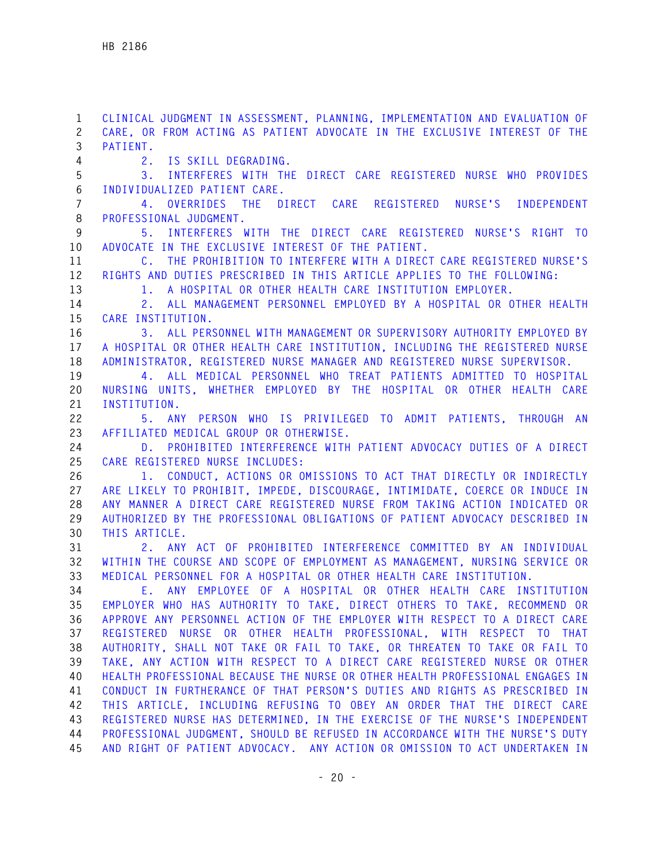**1 CLINICAL JUDGMENT IN ASSESSMENT, PLANNING, IMPLEMENTATION AND EVALUATION OF 2 CARE, OR FROM ACTING AS PATIENT ADVOCATE IN THE EXCLUSIVE INTEREST OF THE 3 PATIENT. 4 2. IS SKILL DEGRADING. 5 3. INTERFERES WITH THE DIRECT CARE REGISTERED NURSE WHO PROVIDES 6 INDIVIDUALIZED PATIENT CARE. 7 4. OVERRIDES THE DIRECT CARE REGISTERED NURSE'S INDEPENDENT 8 PROFESSIONAL JUDGMENT. 9 5. INTERFERES WITH THE DIRECT CARE REGISTERED NURSE'S RIGHT TO 10 ADVOCATE IN THE EXCLUSIVE INTEREST OF THE PATIENT. 11 C. THE PROHIBITION TO INTERFERE WITH A DIRECT CARE REGISTERED NURSE'S 12 RIGHTS AND DUTIES PRESCRIBED IN THIS ARTICLE APPLIES TO THE FOLLOWING: 13 1. A HOSPITAL OR OTHER HEALTH CARE INSTITUTION EMPLOYER. 14 2. ALL MANAGEMENT PERSONNEL EMPLOYED BY A HOSPITAL OR OTHER HEALTH 15 CARE INSTITUTION. 16 3. ALL PERSONNEL WITH MANAGEMENT OR SUPERVISORY AUTHORITY EMPLOYED BY 17 A HOSPITAL OR OTHER HEALTH CARE INSTITUTION, INCLUDING THE REGISTERED NURSE 18 ADMINISTRATOR, REGISTERED NURSE MANAGER AND REGISTERED NURSE SUPERVISOR. 19 4. ALL MEDICAL PERSONNEL WHO TREAT PATIENTS ADMITTED TO HOSPITAL 20 NURSING UNITS, WHETHER EMPLOYED BY THE HOSPITAL OR OTHER HEALTH CARE 21 INSTITUTION. 22 5. ANY PERSON WHO IS PRIVILEGED TO ADMIT PATIENTS, THROUGH AN 23 AFFILIATED MEDICAL GROUP OR OTHERWISE. 24 D. PROHIBITED INTERFERENCE WITH PATIENT ADVOCACY DUTIES OF A DIRECT 25 CARE REGISTERED NURSE INCLUDES: 26 1. CONDUCT, ACTIONS OR OMISSIONS TO ACT THAT DIRECTLY OR INDIRECTLY 27 ARE LIKELY TO PROHIBIT, IMPEDE, DISCOURAGE, INTIMIDATE, COERCE OR INDUCE IN 28 ANY MANNER A DIRECT CARE REGISTERED NURSE FROM TAKING ACTION INDICATED OR 29 AUTHORIZED BY THE PROFESSIONAL OBLIGATIONS OF PATIENT ADVOCACY DESCRIBED IN 30 THIS ARTICLE. 31 2. ANY ACT OF PROHIBITED INTERFERENCE COMMITTED BY AN INDIVIDUAL 32 WITHIN THE COURSE AND SCOPE OF EMPLOYMENT AS MANAGEMENT, NURSING SERVICE OR 33 MEDICAL PERSONNEL FOR A HOSPITAL OR OTHER HEALTH CARE INSTITUTION. 34 E. ANY EMPLOYEE OF A HOSPITAL OR OTHER HEALTH CARE INSTITUTION 35 EMPLOYER WHO HAS AUTHORITY TO TAKE, DIRECT OTHERS TO TAKE, RECOMMEND OR 36 APPROVE ANY PERSONNEL ACTION OF THE EMPLOYER WITH RESPECT TO A DIRECT CARE 37 REGISTERED NURSE OR OTHER HEALTH PROFESSIONAL, WITH RESPECT TO THAT 38 AUTHORITY, SHALL NOT TAKE OR FAIL TO TAKE, OR THREATEN TO TAKE OR FAIL TO 39 TAKE, ANY ACTION WITH RESPECT TO A DIRECT CARE REGISTERED NURSE OR OTHER 40 HEALTH PROFESSIONAL BECAUSE THE NURSE OR OTHER HEALTH PROFESSIONAL ENGAGES IN 41 CONDUCT IN FURTHERANCE OF THAT PERSON'S DUTIES AND RIGHTS AS PRESCRIBED IN 42 THIS ARTICLE, INCLUDING REFUSING TO OBEY AN ORDER THAT THE DIRECT CARE 43 REGISTERED NURSE HAS DETERMINED, IN THE EXERCISE OF THE NURSE'S INDEPENDENT 44 PROFESSIONAL JUDGMENT, SHOULD BE REFUSED IN ACCORDANCE WITH THE NURSE'S DUTY 45 AND RIGHT OF PATIENT ADVOCACY. ANY ACTION OR OMISSION TO ACT UNDERTAKEN IN**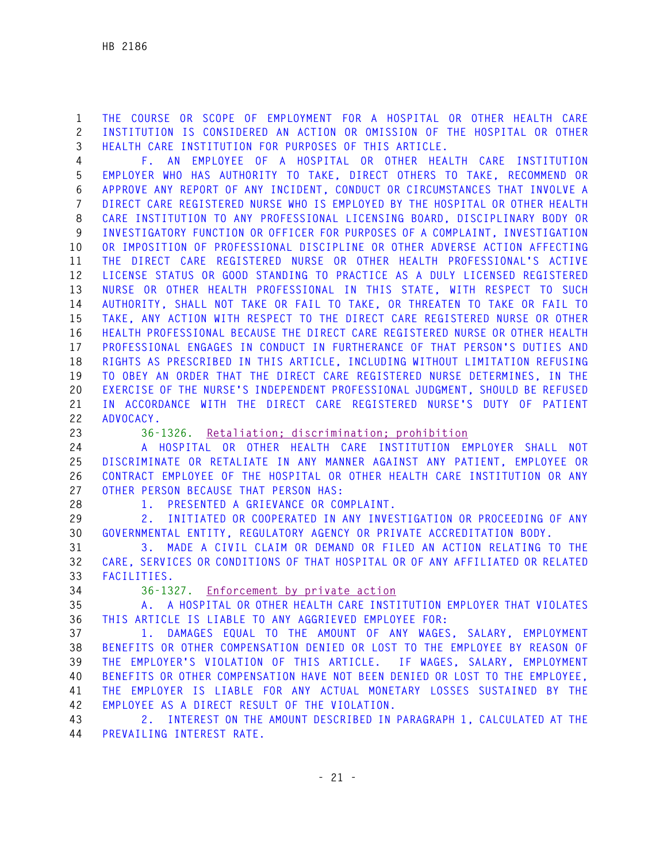**1 THE COURSE OR SCOPE OF EMPLOYMENT FOR A HOSPITAL OR OTHER HEALTH CARE 2 INSTITUTION IS CONSIDERED AN ACTION OR OMISSION OF THE HOSPITAL OR OTHER 3 HEALTH CARE INSTITUTION FOR PURPOSES OF THIS ARTICLE.** 

**4 F. AN EMPLOYEE OF A HOSPITAL OR OTHER HEALTH CARE INSTITUTION 5 EMPLOYER WHO HAS AUTHORITY TO TAKE, DIRECT OTHERS TO TAKE, RECOMMEND OR 6 APPROVE ANY REPORT OF ANY INCIDENT, CONDUCT OR CIRCUMSTANCES THAT INVOLVE A 7 DIRECT CARE REGISTERED NURSE WHO IS EMPLOYED BY THE HOSPITAL OR OTHER HEALTH 8 CARE INSTITUTION TO ANY PROFESSIONAL LICENSING BOARD, DISCIPLINARY BODY OR 9 INVESTIGATORY FUNCTION OR OFFICER FOR PURPOSES OF A COMPLAINT, INVESTIGATION 10 OR IMPOSITION OF PROFESSIONAL DISCIPLINE OR OTHER ADVERSE ACTION AFFECTING 11 THE DIRECT CARE REGISTERED NURSE OR OTHER HEALTH PROFESSIONAL'S ACTIVE 12 LICENSE STATUS OR GOOD STANDING TO PRACTICE AS A DULY LICENSED REGISTERED 13 NURSE OR OTHER HEALTH PROFESSIONAL IN THIS STATE, WITH RESPECT TO SUCH 14 AUTHORITY, SHALL NOT TAKE OR FAIL TO TAKE, OR THREATEN TO TAKE OR FAIL TO 15 TAKE, ANY ACTION WITH RESPECT TO THE DIRECT CARE REGISTERED NURSE OR OTHER 16 HEALTH PROFESSIONAL BECAUSE THE DIRECT CARE REGISTERED NURSE OR OTHER HEALTH 17 PROFESSIONAL ENGAGES IN CONDUCT IN FURTHERANCE OF THAT PERSON'S DUTIES AND 18 RIGHTS AS PRESCRIBED IN THIS ARTICLE, INCLUDING WITHOUT LIMITATION REFUSING 19 TO OBEY AN ORDER THAT THE DIRECT CARE REGISTERED NURSE DETERMINES, IN THE 20 EXERCISE OF THE NURSE'S INDEPENDENT PROFESSIONAL JUDGMENT, SHOULD BE REFUSED 21 IN ACCORDANCE WITH THE DIRECT CARE REGISTERED NURSE'S DUTY OF PATIENT 22 ADVOCACY.** 

**23 36-1326. Retaliation; discrimination; prohibition**

**24 A HOSPITAL OR OTHER HEALTH CARE INSTITUTION EMPLOYER SHALL NOT 25 DISCRIMINATE OR RETALIATE IN ANY MANNER AGAINST ANY PATIENT, EMPLOYEE OR 26 CONTRACT EMPLOYEE OF THE HOSPITAL OR OTHER HEALTH CARE INSTITUTION OR ANY 27 OTHER PERSON BECAUSE THAT PERSON HAS:** 

**28 1. PRESENTED A GRIEVANCE OR COMPLAINT.** 

**29 2. INITIATED OR COOPERATED IN ANY INVESTIGATION OR PROCEEDING OF ANY 30 GOVERNMENTAL ENTITY, REGULATORY AGENCY OR PRIVATE ACCREDITATION BODY.** 

**31 3. MADE A CIVIL CLAIM OR DEMAND OR FILED AN ACTION RELATING TO THE 32 CARE, SERVICES OR CONDITIONS OF THAT HOSPITAL OR OF ANY AFFILIATED OR RELATED 33 FACILITIES.** 

**34 36-1327. Enforcement by private action**

**35 A. A HOSPITAL OR OTHER HEALTH CARE INSTITUTION EMPLOYER THAT VIOLATES 36 THIS ARTICLE IS LIABLE TO ANY AGGRIEVED EMPLOYEE FOR:** 

**37 1. DAMAGES EQUAL TO THE AMOUNT OF ANY WAGES, SALARY, EMPLOYMENT 38 BENEFITS OR OTHER COMPENSATION DENIED OR LOST TO THE EMPLOYEE BY REASON OF 39 THE EMPLOYER'S VIOLATION OF THIS ARTICLE. IF WAGES, SALARY, EMPLOYMENT 40 BENEFITS OR OTHER COMPENSATION HAVE NOT BEEN DENIED OR LOST TO THE EMPLOYEE, 41 THE EMPLOYER IS LIABLE FOR ANY ACTUAL MONETARY LOSSES SUSTAINED BY THE 42 EMPLOYEE AS A DIRECT RESULT OF THE VIOLATION.** 

**43 2. INTEREST ON THE AMOUNT DESCRIBED IN PARAGRAPH 1, CALCULATED AT THE 44 PREVAILING INTEREST RATE.**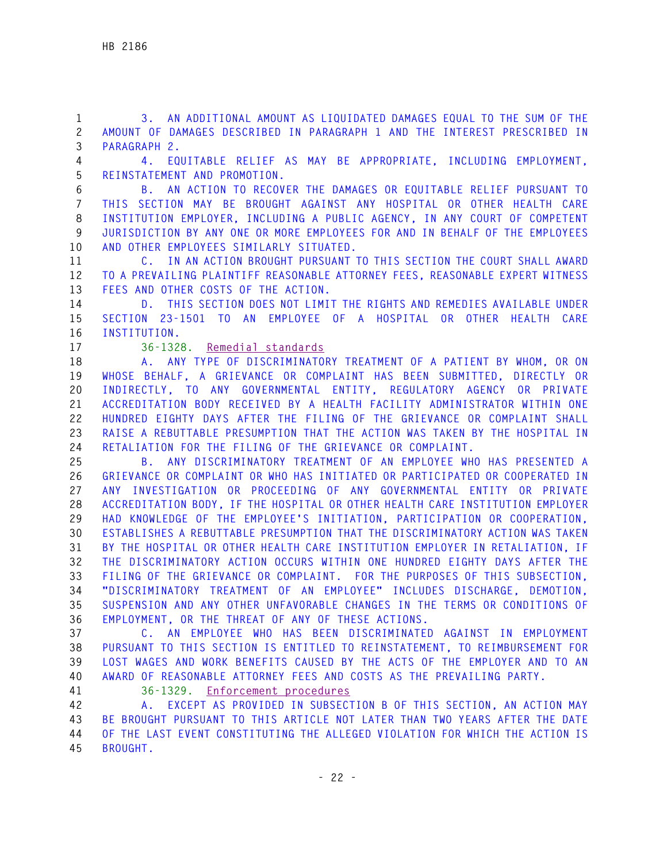**1 3. AN ADDITIONAL AMOUNT AS LIQUIDATED DAMAGES EQUAL TO THE SUM OF THE 2 AMOUNT OF DAMAGES DESCRIBED IN PARAGRAPH 1 AND THE INTEREST PRESCRIBED IN 3 PARAGRAPH 2.** 

**4 4. EQUITABLE RELIEF AS MAY BE APPROPRIATE, INCLUDING EMPLOYMENT, 5 REINSTATEMENT AND PROMOTION.** 

**6 B. AN ACTION TO RECOVER THE DAMAGES OR EQUITABLE RELIEF PURSUANT TO 7 THIS SECTION MAY BE BROUGHT AGAINST ANY HOSPITAL OR OTHER HEALTH CARE 8 INSTITUTION EMPLOYER, INCLUDING A PUBLIC AGENCY, IN ANY COURT OF COMPETENT 9 JURISDICTION BY ANY ONE OR MORE EMPLOYEES FOR AND IN BEHALF OF THE EMPLOYEES 10 AND OTHER EMPLOYEES SIMILARLY SITUATED.** 

**11 C. IN AN ACTION BROUGHT PURSUANT TO THIS SECTION THE COURT SHALL AWARD 12 TO A PREVAILING PLAINTIFF REASONABLE ATTORNEY FEES, REASONABLE EXPERT WITNESS 13 FEES AND OTHER COSTS OF THE ACTION.** 

**14 D. THIS SECTION DOES NOT LIMIT THE RIGHTS AND REMEDIES AVAILABLE UNDER 15 SECTION 23-1501 TO AN EMPLOYEE OF A HOSPITAL OR OTHER HEALTH CARE 16 INSTITUTION.** 

**17 36-1328. Remedial standards**

**18 A. ANY TYPE OF DISCRIMINATORY TREATMENT OF A PATIENT BY WHOM, OR ON 19 WHOSE BEHALF, A GRIEVANCE OR COMPLAINT HAS BEEN SUBMITTED, DIRECTLY OR 20 INDIRECTLY, TO ANY GOVERNMENTAL ENTITY, REGULATORY AGENCY OR PRIVATE 21 ACCREDITATION BODY RECEIVED BY A HEALTH FACILITY ADMINISTRATOR WITHIN ONE 22 HUNDRED EIGHTY DAYS AFTER THE FILING OF THE GRIEVANCE OR COMPLAINT SHALL 23 RAISE A REBUTTABLE PRESUMPTION THAT THE ACTION WAS TAKEN BY THE HOSPITAL IN 24 RETALIATION FOR THE FILING OF THE GRIEVANCE OR COMPLAINT.** 

**25 B. ANY DISCRIMINATORY TREATMENT OF AN EMPLOYEE WHO HAS PRESENTED A 26 GRIEVANCE OR COMPLAINT OR WHO HAS INITIATED OR PARTICIPATED OR COOPERATED IN 27 ANY INVESTIGATION OR PROCEEDING OF ANY GOVERNMENTAL ENTITY OR PRIVATE 28 ACCREDITATION BODY, IF THE HOSPITAL OR OTHER HEALTH CARE INSTITUTION EMPLOYER 29 HAD KNOWLEDGE OF THE EMPLOYEE'S INITIATION, PARTICIPATION OR COOPERATION, 30 ESTABLISHES A REBUTTABLE PRESUMPTION THAT THE DISCRIMINATORY ACTION WAS TAKEN 31 BY THE HOSPITAL OR OTHER HEALTH CARE INSTITUTION EMPLOYER IN RETALIATION, IF 32 THE DISCRIMINATORY ACTION OCCURS WITHIN ONE HUNDRED EIGHTY DAYS AFTER THE 33 FILING OF THE GRIEVANCE OR COMPLAINT. FOR THE PURPOSES OF THIS SUBSECTION, 34 "DISCRIMINATORY TREATMENT OF AN EMPLOYEE" INCLUDES DISCHARGE, DEMOTION, 35 SUSPENSION AND ANY OTHER UNFAVORABLE CHANGES IN THE TERMS OR CONDITIONS OF 36 EMPLOYMENT, OR THE THREAT OF ANY OF THESE ACTIONS.** 

**37 C. AN EMPLOYEE WHO HAS BEEN DISCRIMINATED AGAINST IN EMPLOYMENT 38 PURSUANT TO THIS SECTION IS ENTITLED TO REINSTATEMENT, TO REIMBURSEMENT FOR 39 LOST WAGES AND WORK BENEFITS CAUSED BY THE ACTS OF THE EMPLOYER AND TO AN 40 AWARD OF REASONABLE ATTORNEY FEES AND COSTS AS THE PREVAILING PARTY.** 

**41 36-1329. Enforcement procedures**

**42 A. EXCEPT AS PROVIDED IN SUBSECTION B OF THIS SECTION, AN ACTION MAY 43 BE BROUGHT PURSUANT TO THIS ARTICLE NOT LATER THAN TWO YEARS AFTER THE DATE 44 OF THE LAST EVENT CONSTITUTING THE ALLEGED VIOLATION FOR WHICH THE ACTION IS 45 BROUGHT.**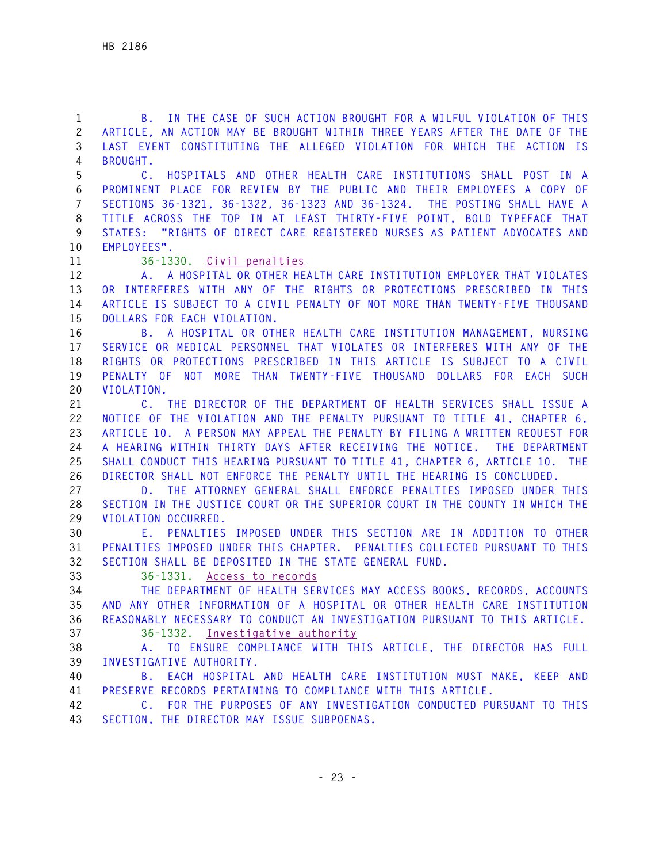**1 B. IN THE CASE OF SUCH ACTION BROUGHT FOR A WILFUL VIOLATION OF THIS 2 ARTICLE, AN ACTION MAY BE BROUGHT WITHIN THREE YEARS AFTER THE DATE OF THE 3 LAST EVENT CONSTITUTING THE ALLEGED VIOLATION FOR WHICH THE ACTION IS 4 BROUGHT. 5 C. HOSPITALS AND OTHER HEALTH CARE INSTITUTIONS SHALL POST IN A 6 PROMINENT PLACE FOR REVIEW BY THE PUBLIC AND THEIR EMPLOYEES A COPY OF 7 SECTIONS 36-1321, 36-1322, 36-1323 AND 36-1324. THE POSTING SHALL HAVE A 8 TITLE ACROSS THE TOP IN AT LEAST THIRTY-FIVE POINT, BOLD TYPEFACE THAT 9 STATES: "RIGHTS OF DIRECT CARE REGISTERED NURSES AS PATIENT ADVOCATES AND 10 EMPLOYEES". 11 36-1330. Civil penalties 12 A. A HOSPITAL OR OTHER HEALTH CARE INSTITUTION EMPLOYER THAT VIOLATES 13 OR INTERFERES WITH ANY OF THE RIGHTS OR PROTECTIONS PRESCRIBED IN THIS 14 ARTICLE IS SUBJECT TO A CIVIL PENALTY OF NOT MORE THAN TWENTY-FIVE THOUSAND 15 DOLLARS FOR EACH VIOLATION. 16 B. A HOSPITAL OR OTHER HEALTH CARE INSTITUTION MANAGEMENT, NURSING 17 SERVICE OR MEDICAL PERSONNEL THAT VIOLATES OR INTERFERES WITH ANY OF THE 18 RIGHTS OR PROTECTIONS PRESCRIBED IN THIS ARTICLE IS SUBJECT TO A CIVIL 19 PENALTY OF NOT MORE THAN TWENTY-FIVE THOUSAND DOLLARS FOR EACH SUCH 20 VIOLATION. 21 C. THE DIRECTOR OF THE DEPARTMENT OF HEALTH SERVICES SHALL ISSUE A 22 NOTICE OF THE VIOLATION AND THE PENALTY PURSUANT TO TITLE 41, CHAPTER 6, 23 ARTICLE 10. A PERSON MAY APPEAL THE PENALTY BY FILING A WRITTEN REQUEST FOR 24 A HEARING WITHIN THIRTY DAYS AFTER RECEIVING THE NOTICE. THE DEPARTMENT 25 SHALL CONDUCT THIS HEARING PURSUANT TO TITLE 41, CHAPTER 6, ARTICLE 10. THE 26 DIRECTOR SHALL NOT ENFORCE THE PENALTY UNTIL THE HEARING IS CONCLUDED. 27 D. THE ATTORNEY GENERAL SHALL ENFORCE PENALTIES IMPOSED UNDER THIS 28 SECTION IN THE JUSTICE COURT OR THE SUPERIOR COURT IN THE COUNTY IN WHICH THE 29 VIOLATION OCCURRED. 30 E. PENALTIES IMPOSED UNDER THIS SECTION ARE IN ADDITION TO OTHER 31 PENALTIES IMPOSED UNDER THIS CHAPTER. PENALTIES COLLECTED PURSUANT TO THIS 32 SECTION SHALL BE DEPOSITED IN THE STATE GENERAL FUND. 33 36-1331. Access to records 34 THE DEPARTMENT OF HEALTH SERVICES MAY ACCESS BOOKS, RECORDS, ACCOUNTS 35 AND ANY OTHER INFORMATION OF A HOSPITAL OR OTHER HEALTH CARE INSTITUTION 36 REASONABLY NECESSARY TO CONDUCT AN INVESTIGATION PURSUANT TO THIS ARTICLE. 37 36-1332. Investigative authority 38 A. TO ENSURE COMPLIANCE WITH THIS ARTICLE, THE DIRECTOR HAS FULL 39 INVESTIGATIVE AUTHORITY. 40 B. EACH HOSPITAL AND HEALTH CARE INSTITUTION MUST MAKE, KEEP AND 41 PRESERVE RECORDS PERTAINING TO COMPLIANCE WITH THIS ARTICLE. 42 C. FOR THE PURPOSES OF ANY INVESTIGATION CONDUCTED PURSUANT TO THIS 43 SECTION, THE DIRECTOR MAY ISSUE SUBPOENAS.**